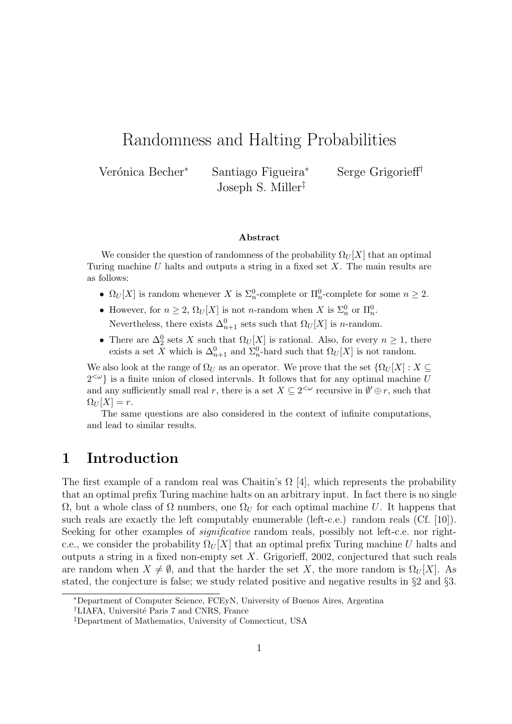# Randomness and Halting Probabilities

Verónica Becher<sup>∗</sup> Santiago Figueira<sup>∗</sup> Serge Grigorieff<sup>†</sup> Joseph S. Miller‡

#### Abstract

We consider the question of randomness of the probability  $\Omega_U[X]$  that an optimal Turing machine  $U$  halts and outputs a string in a fixed set  $X$ . The main results are as follows:

- $\Omega_U[X]$  is random whenever X is  $\Sigma_n^0$ -complete or  $\Pi_n^0$ -complete for some  $n \geq 2$ .
- However, for  $n \geq 2$ ,  $\Omega_U[X]$  is not *n*-random when X is  $\Sigma_n^0$  or  $\Pi_n^0$ . Nevertheless, there exists  $\Delta_{n+1}^0$  sets such that  $\Omega_U[X]$  is *n*-random.
- There are  $\Delta_2^0$  sets X such that  $\Omega_U[X]$  is rational. Also, for every  $n \geq 1$ , there exists a set X which is  $\Delta_{n+1}^0$  and  $\Sigma_n^0$ -hard such that  $\Omega_U[X]$  is not random.

We also look at the range of  $\Omega_U$  as an operator. We prove that the set  $\{\Omega_U[X]: X\subseteq$  $2<sup>{\sim}</sup>$  is a finite union of closed intervals. It follows that for any optimal machine U and any sufficiently small real r, there is a set  $X \subseteq 2^{<\omega}$  recursive in  $\emptyset' \oplus r$ , such that  $\Omega_U[X] = r.$ 

The same questions are also considered in the context of infinite computations, and lead to similar results.

## 1 Introduction

The first example of a random real was Chaitin's  $\Omega$  [4], which represents the probability that an optimal prefix Turing machine halts on an arbitrary input. In fact there is no single  $Ω$ , but a whole class of  $Ω$  numbers, one  $Ω<sub>U</sub>$  for each optimal machine U. It happens that such reals are exactly the left computably enumerable (left-c.e.) random reals (Cf. [10]). Seeking for other examples of *significative* random reals, possibly not left-c.e. nor rightc.e., we consider the probability  $\Omega_U[X]$  that an optimal prefix Turing machine U halts and outputs a string in a fixed non-empty set X. Grigorieff, 2002, conjectured that such reals are random when  $X \neq \emptyset$ , and that the harder the set X, the more random is  $\Omega_U[X]$ . As stated, the conjecture is false; we study related positive and negative results in §2 and §3.

<sup>∗</sup>Department of Computer Science, FCEyN, University of Buenos Aires, Argentina

<sup>&</sup>lt;sup>†</sup>LIAFA, Université Paris 7 and CNRS, France

<sup>‡</sup>Department of Mathematics, University of Connecticut, USA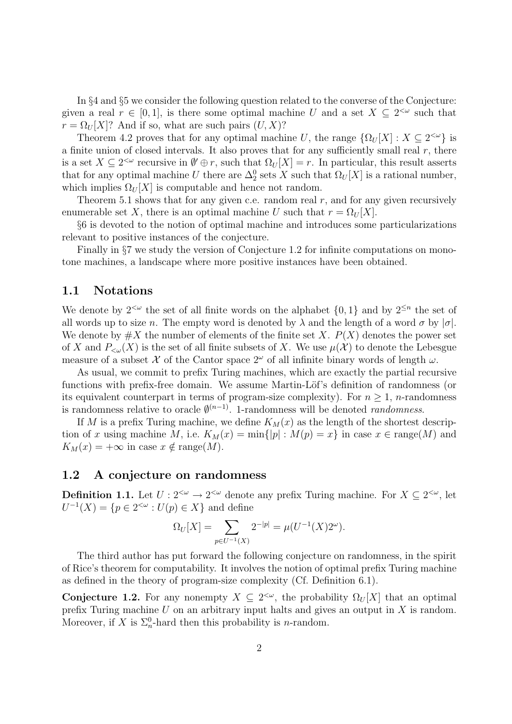In §4 and §5 we consider the following question related to the converse of the Conjecture: given a real  $r \in [0,1]$ , is there some optimal machine U and a set  $X \subseteq 2^{\lt \omega}$  such that  $r = \Omega_U[X]$ ? And if so, what are such pairs  $(U, X)$ ?

Theorem 4.2 proves that for any optimal machine U, the range  $\{\Omega_U[X]: X \subseteq 2^{\lt \omega}\}\$ is a finite union of closed intervals. It also proves that for any sufficiently small real  $r$ , there is a set  $X \subseteq 2^{<\omega}$  recursive in  $\emptyset' \oplus r$ , such that  $\Omega_U[X] = r$ . In particular, this result asserts that for any optimal machine U there are  $\Delta_2^0$  sets X such that  $\Omega_U[X]$  is a rational number, which implies  $\Omega_U[X]$  is computable and hence not random.

Theorem 5.1 shows that for any given c.e. random real  $r$ , and for any given recursively enumerable set X, there is an optimal machine U such that  $r = \Omega_U[X]$ .

§6 is devoted to the notion of optimal machine and introduces some particularizations relevant to positive instances of the conjecture.

Finally in §7 we study the version of Conjecture 1.2 for infinite computations on monotone machines, a landscape where more positive instances have been obtained.

### 1.1 Notations

We denote by  $2^{&\omega}$  the set of all finite words on the alphabet  $\{0,1\}$  and by  $2^{\leq n}$  the set of all words up to size n. The empty word is denoted by  $\lambda$  and the length of a word  $\sigma$  by  $|\sigma|$ . We denote by  $\#X$  the number of elements of the finite set X.  $P(X)$  denotes the power set of X and  $P_{\leq \omega}(X)$  is the set of all finite subsets of X. We use  $\mu(\mathcal{X})$  to denote the Lebesgue measure of a subset X of the Cantor space  $2^{\omega}$  of all infinite binary words of length  $\omega$ .

As usual, we commit to prefix Turing machines, which are exactly the partial recursive functions with prefix-free domain. We assume Martin-Löf's definition of randomness (or its equivalent counterpart in terms of program-size complexity). For  $n > 1$ , *n*-randomness is randomness relative to oracle  $\emptyset^{(n-1)}$ . 1-randomness will be denoted *randomness*.

If M is a prefix Turing machine, we define  $K_M(x)$  as the length of the shortest description of x using machine M, i.e.  $K_M(x) = \min\{|p| : M(p) = x\}$  in case  $x \in \text{range}(M)$  and  $K_M(x) = +\infty$  in case  $x \notin \text{range}(M)$ .

### 1.2 A conjecture on randomness

**Definition 1.1.** Let  $U: 2^{<\omega} \to 2^{<\omega}$  denote any prefix Turing machine. For  $X \subseteq 2^{<\omega}$ , let  $U^{-1}(X) = \{p \in 2^{<\omega}: U(p) \in X\}$  and define

$$
\Omega_U[X] = \sum_{p \in U^{-1}(X)} 2^{-|p|} = \mu(U^{-1}(X)2^{\omega}).
$$

The third author has put forward the following conjecture on randomness, in the spirit of Rice's theorem for computability. It involves the notion of optimal prefix Turing machine as defined in the theory of program-size complexity (Cf. Definition 6.1).

**Conjecture 1.2.** For any nonempty  $X \subseteq 2^{\lt \omega}$ , the probability  $\Omega_U[X]$  that an optimal prefix Turing machine  $U$  on an arbitrary input halts and gives an output in  $X$  is random. Moreover, if X is  $\Sigma_n^0$ -hard then this probability is *n*-random.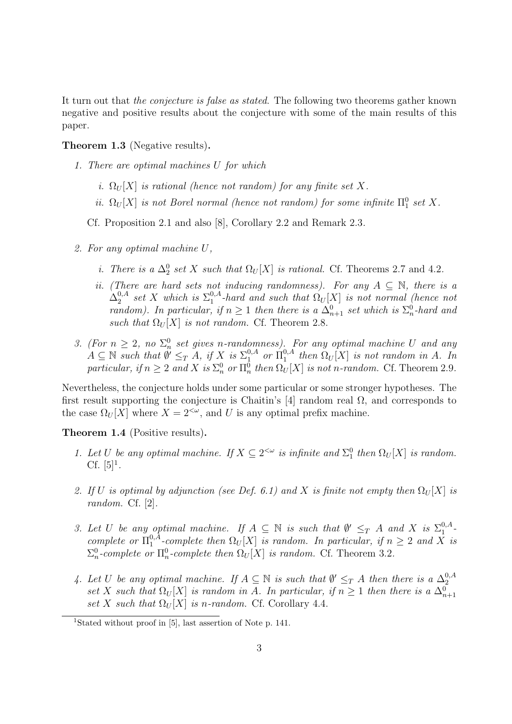It turn out that the conjecture is false as stated. The following two theorems gather known negative and positive results about the conjecture with some of the main results of this paper.

#### Theorem 1.3 (Negative results).

- 1. There are optimal machines U for which
	- i.  $\Omega_U[X]$  is rational (hence not random) for any finite set X.
	- ii.  $\Omega_U[X]$  is not Borel normal (hence not random) for some infinite  $\Pi_1^0$  set X.

Cf. Proposition 2.1 and also [8], Corollary 2.2 and Remark 2.3.

- 2. For any optimal machine U,
	- *i. There is a*  $\Delta_2^0$  *set X such that*  $\Omega_U[X]$  *is rational.* Cf. Theorems 2.7 and 4.2.
	- ii. (There are hard sets not inducing randomness). For any  $A \subseteq \mathbb{N}$ , there is a  $\Delta^{0,A}_2$  $_{2}^{0,A}$  set X which is  $\Sigma_{1}^{0,A}$  $\Omega_1^{0,A}$ -hard and such that  $\Omega_U[X]$  is not normal (hence not random). In particular, if  $n \geq 1$  then there is a  $\Delta_{n+1}^0$  set which is  $\Sigma_n^0$ -hard and such that  $\Omega_U[X]$  is not random. Cf. Theorem 2.8.
- 3. (For  $n \geq 2$ , no  $\Sigma_n^0$  set gives n-randomness). For any optimal machine U and any  $A \subseteq \mathbb{N}$  such that  $\emptyset' \leq_T A$ , if X is  $\Sigma_1^{0,A}$  or  $\Pi_1^{0,A}$  $_{1}^{0,A}$  then  $\Omega_U[X]$  is not random in A. In particular, if  $n \geq 2$  and X is  $\Sigma_n^0$  or  $\Pi_n^0$  then  $\Omega_U[X]$  is not n-random. Cf. Theorem 2.9.

Nevertheless, the conjecture holds under some particular or some stronger hypotheses. The first result supporting the conjecture is Chaitin's [4] random real  $\Omega$ , and corresponds to the case  $\Omega_U[X]$  where  $X = 2^{<\omega}$ , and U is any optimal prefix machine.

#### Theorem 1.4 (Positive results).

- 1. Let U be any optimal machine. If  $X \subseteq 2^{<\omega}$  is infinite and  $\Sigma_1^0$  then  $\Omega_U[X]$  is random. Cf.  $[5]^{1}$ .
- 2. If U is optimal by adjunction (see Def. 6.1) and X is finite not empty then  $\Omega_U[X]$  is random. Cf. [2].
- 3. Let U be any optimal machine. If  $A \subseteq \mathbb{N}$  is such that  $\emptyset' \leq_T A$  and X is  $\Sigma_1^{0,A}$  $_{1}^{0,A}$  complete or  $\Pi_1^{0,\bar{A}}$ <sup>0,A</sup>-complete then  $\Omega_U[X]$  is random. In particular, if  $n \geq 2$  and X is  $\Sigma_n^0$ -complete or  $\Pi_n^0$ -complete then  $\Omega_U[X]$  is random. Cf. Theorem 3.2.
- 4. Let U be any optimal machine. If  $A \subseteq \mathbb{N}$  is such that  $\emptyset' \leq_T A$  then there is a  $\Delta_2^{0,A}$ Let  $\bigcirc$  be any optimal machine. If  $A \subseteq \mathbb{N}$  is such that  $\emptyset \leq T$  A then there is a  $\Delta_2$ <br>set X such that  $\Omega_U[X]$  is random in A. In particular, if  $n \geq 1$  then there is a  $\Delta_{n+1}^0$ set X such that  $\Omega_U[X]$  is n-random. Cf. Corollary 4.4.

<sup>&</sup>lt;sup>1</sup>Stated without proof in [5], last assertion of Note p. 141.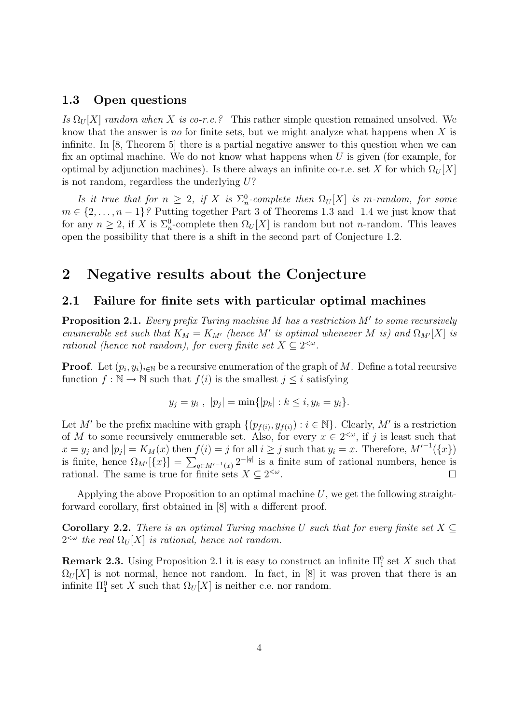#### 1.3 Open questions

Is  $\Omega_U[X]$  random when X is co-r.e.? This rather simple question remained unsolved. We know that the answer is no for finite sets, but we might analyze what happens when  $X$  is infinite. In [8, Theorem 5] there is a partial negative answer to this question when we can fix an optimal machine. We do not know what happens when  $U$  is given (for example, for optimal by adjunction machines). Is there always an infinite co-r.e. set X for which  $\Omega_U[X]$ is not random, regardless the underlying  $U$ ?

Is it true that for  $n \geq 2$ , if X is  $\Sigma_n^0$ -complete then  $\Omega_U[X]$  is m-random, for some  $m \in \{2, \ldots, n-1\}$ ? Putting together Part 3 of Theorems 1.3 and 1.4 we just know that for any  $n \geq 2$ , if X is  $\Sigma_n^0$ -complete then  $\Omega_U[X]$  is random but not *n*-random. This leaves open the possibility that there is a shift in the second part of Conjecture 1.2.

### 2 Negative results about the Conjecture

### 2.1 Failure for finite sets with particular optimal machines

**Proposition 2.1.** Every prefix Turing machine  $M$  has a restriction  $M'$  to some recursively enumerable set such that  $K_M = K_{M'}$  (hence M' is optimal whenever M is) and  $\Omega_{M'}[X]$  is rational (hence not random), for every finite set  $X \subseteq 2^{<\omega}$ .

**Proof.** Let  $(p_i, y_i)_{i \in \mathbb{N}}$  be a recursive enumeration of the graph of M. Define a total recursive function  $f : \mathbb{N} \to \mathbb{N}$  such that  $f(i)$  is the smallest  $j \leq i$  satisfying

$$
y_j = y_i
$$
,  $|p_j| = \min\{|p_k| : k \le i, y_k = y_i\}.$ 

Let M' be the prefix machine with graph  $\{(p_{f(i)}, y_{f(i)}): i \in \mathbb{N}\}\)$ . Clearly, M' is a restriction of M to some recursively enumerable set. Also, for every  $x \in 2^{\leq \omega}$ , if j is least such that  $x = y_j$  and  $|p_j| = K_M(x)$  then  $f(i) = j$  for all  $i \ge j$  such that  $y_i = x$ . Therefore,  $M'^{-1}(\lbrace x \rbrace)$ is finite, hence  $\Omega_{M'}[\{x\}] = \sum_{q \in M'^{-1}(x)} 2^{-|q|}$  is a finite sum of rational numbers, hence is rational. The same is true for finite sets  $X \subseteq 2^{<\omega}$ .  $\Box$ 

Applying the above Proposition to an optimal machine  $U$ , we get the following straightforward corollary, first obtained in [8] with a different proof.

**Corollary 2.2.** There is an optimal Turing machine U such that for every finite set  $X \subseteq$  $2^{<\omega}$  the real  $\Omega_U[X]$  is rational, hence not random.

**Remark 2.3.** Using Proposition 2.1 it is easy to construct an infinite  $\Pi_1^0$  set X such that  $\Omega_U[X]$  is not normal, hence not random. In fact, in [8] it was proven that there is an infinite  $\Pi_1^0$  set X such that  $\Omega_U[X]$  is neither c.e. nor random.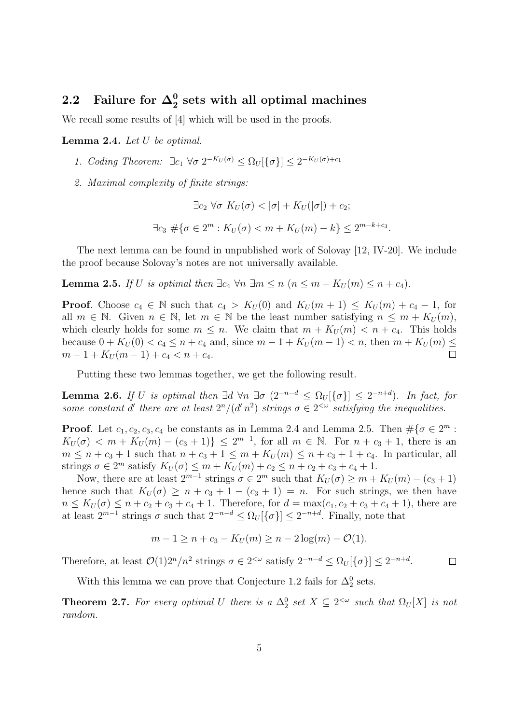# 2.2 Failure for  $\Delta^0_2$  sets with all optimal machines

We recall some results of [4] which will be used in the proofs.

Lemma 2.4. Let U be optimal.

- 1. Coding Theorem:  $\exists c_1 \; \forall \sigma \; 2^{-K_U(\sigma)} \leq \Omega_U[\{\sigma\}] \leq 2^{-K_U(\sigma)+c_1}$
- 2. Maximal complexity of finite strings:

$$
\exists c_2 \,\forall \sigma \, K_U(\sigma) < |\sigma| + K_U(|\sigma|) + c_2;
$$
\n
$$
\exists c_3 \# \{\sigma \in 2^m : K_U(\sigma) < m + K_U(m) - k\} \le 2^{m-k+c_3}.
$$

The next lemma can be found in unpublished work of Solovay [12, IV-20]. We include the proof because Solovay's notes are not universally available.

**Lemma 2.5.** If U is optimal then  $\exists c_4 \forall n \exists m \leq n \ (n \leq m + K_U(m) \leq n + c_4)$ .

**Proof.** Choose  $c_4 \in \mathbb{N}$  such that  $c_4 > K_U(0)$  and  $K_U(m+1) \leq K_U(m) + c_4 - 1$ , for all  $m \in \mathbb{N}$ . Given  $n \in \mathbb{N}$ , let  $m \in \mathbb{N}$  be the least number satisfying  $n \leq m + K_U(m)$ , which clearly holds for some  $m \leq n$ . We claim that  $m + K_U(m) < n + c_4$ . This holds because  $0 + K_U(0) < c_4 \le n + c_4$  and, since  $m - 1 + K_U(m - 1) < n$ , then  $m + K_U(m) \le$  $m-1+K_U(m-1)+c_4 < n+c_4.$  $\Box$ 

Putting these two lemmas together, we get the following result.

**Lemma 2.6.** If U is optimal then  $\exists d \forall n \exists \sigma (2^{-n-d} \leq \Omega_U[\{\sigma\}] \leq 2^{-n+d})$ . In fact, for some constant d' there are at least  $2^n/(d^n)^2$  strings  $\sigma \in 2^{<\omega}$  satisfying the inequalities.

**Proof.** Let  $c_1, c_2, c_3, c_4$  be constants as in Lemma 2.4 and Lemma 2.5. Then  $\#\{\sigma \in 2^m :$  $K_U(\sigma) < m + K_U(m) - (c_3 + 1) \le 2^{m-1}$ , for all  $m \in \mathbb{N}$ . For  $n + c_3 + 1$ , there is an  $m \leq n + c_3 + 1$  such that  $n + c_3 + 1 \leq m + K_U(m) \leq n + c_3 + 1 + c_4$ . In particular, all strings  $\sigma \in 2^m$  satisfy  $K_U(\sigma) \leq m + K_U(m) + c_2 \leq n + c_2 + c_3 + c_4 + 1$ .

Now, there are at least  $2^{m-1}$  strings  $\sigma \in 2^m$  such that  $K_U(\sigma) \geq m + K_U(m) - (c_3 + 1)$ hence such that  $K_U(\sigma) \geq n + c_3 + 1 - (c_3 + 1) = n$ . For such strings, we then have  $n \leq K_U(\sigma) \leq n + c_2 + c_3 + c_4 + 1$ . Therefore, for  $d = \max(c_1, c_2 + c_3 + c_4 + 1)$ , there are at least  $2^{m-1}$  strings  $\sigma$  such that  $2^{-n-d} \leq \Omega_U[\{\sigma\}] \leq 2^{-n+d}$ . Finally, note that

$$
m - 1 \ge n + c_3 - K_U(m) \ge n - 2\log(m) - O(1).
$$

Therefore, at least  $\mathcal{O}(1)2^n/n^2$  strings  $\sigma \in 2^{<\omega}$  satisfy  $2^{-n-d} \leq \Omega_U[\{\sigma\}] \leq 2^{-n+d}$ .  $\Box$ 

With this lemma we can prove that Conjecture 1.2 fails for  $\Delta_2^0$  sets.

**Theorem 2.7.** For every optimal U there is a  $\Delta_2^0$  set  $X \subseteq 2^{\lt \omega}$  such that  $\Omega_U[X]$  is not random.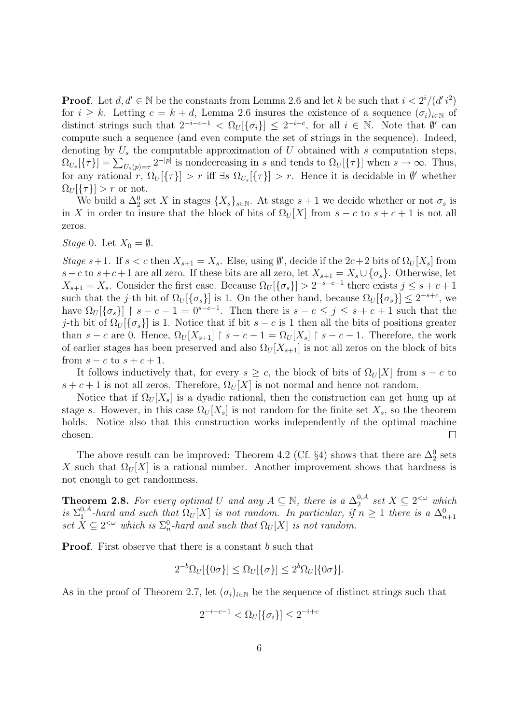**Proof.** Let  $d, d' \in \mathbb{N}$  be the constants from Lemma 2.6 and let k be such that  $i < 2^i/(d' i^2)$ for  $i \geq k$ . Letting  $c = k + d$ , Lemma 2.6 insures the existence of a sequence  $(\sigma_i)_{i \in \mathbb{N}}$  of distinct strings such that  $2^{-i-c-1} < \Omega_U[\{\sigma_i\}] \leq 2^{-i+c}$ , for all  $i \in \mathbb{N}$ . Note that  $\emptyset'$  can compute such a sequence (and even compute the set of strings in the sequence). Indeed, denoting by  $U_s$  the computable approximation of U obtained with s computation steps,  $\Omega_{U_s}[\{\tau\}] = \sum_{U_s(p)=\tau} 2^{-|p|}$  is nondecreasing in s and tends to  $\Omega_U[\{\tau\}]$  when  $s \to \infty$ . Thus, for any rational r,  $\Omega_U[\{\tau\}] > r$  iff  $\exists s \Omega_{U_s}[\{\tau\}] > r$ . Hence it is decidable in  $\emptyset'$  whether  $\Omega_U[\{\tau\}] > r$  or not.

We build a  $\Delta_2^0$  set X in stages  $\{X_s\}_{s\in\mathbb{N}}$ . At stage  $s+1$  we decide whether or not  $\sigma_s$  is in X in order to insure that the block of bits of  $\Omega_U[X]$  from  $s - c$  to  $s + c + 1$  is not all zeros.

*Stage* 0. Let  $X_0 = \emptyset$ .

Stage s+1. If  $s < c$  then  $X_{s+1} = X_s$ . Else, using  $\emptyset'$ , decide if the  $2c+2$  bits of  $\Omega_U[X_s]$  from s – c to s + c + 1 are all zero. If these bits are all zero, let  $X_{s+1} = X_s \cup \{\sigma_s\}$ . Otherwise, let  $X_{s+1} = X_s$ . Consider the first case. Because  $\Omega_U[\{\sigma_s\}] > 2^{-s-c-1}$  there exists  $j \leq s+c+1$ such that the j-th bit of  $\Omega_U[\{\sigma_s\}]$  is 1. On the other hand, because  $\Omega_U[\{\sigma_s\}] \leq 2^{-s+c}$ , we have  $\Omega_U[\{\sigma_s\}]$  |  $s - c - 1 = 0^{s-c-1}$ . Then there is  $s - c \leq j \leq s + c + 1$  such that the j-th bit of  $\Omega_U[\{\sigma_s\}]$  is 1. Notice that if bit  $s-c$  is 1 then all the bits of positions greater than s – c are 0. Hence,  $\Omega_U[X_{s+1}] \restriction s-c-1 = \Omega_U[X_s] \restriction s-c-1$ . Therefore, the work of earlier stages has been preserved and also  $\Omega_U[X_{s+1}]$  is not all zeros on the block of bits from  $s - c$  to  $s + c + 1$ .

It follows inductively that, for every  $s > c$ , the block of bits of  $\Omega_U[X]$  from  $s - c$  to  $s + c + 1$  is not all zeros. Therefore,  $\Omega_U[X]$  is not normal and hence not random.

Notice that if  $\Omega_U[X_s]$  is a dyadic rational, then the construction can get hung up at stage s. However, in this case  $\Omega_U[X_s]$  is not random for the finite set  $X_s$ , so the theorem holds. Notice also that this construction works independently of the optimal machine chosen.  $\Box$ 

The above result can be improved: Theorem 4.2 (Cf. §4) shows that there are  $\Delta_2^0$  sets X such that  $\Omega_U[X]$  is a rational number. Another improvement shows that hardness is not enough to get randomness.

**Theorem 2.8.** For every optimal U and any  $A \subseteq \mathbb{N}$ , there is a  $\Delta_2^{0,A}$  $_{2}^{0,A}$  set  $X \subseteq 2^{<\omega}$  which is  $\Sigma_1^{0,A}$  $_{1}^{0,A}$ -hard and such that  $\Omega_{U}[X]$  is not random. In particular, if  $n \geq 1$  there is a  $\Delta_{n+1}^{0}$ set  $X \subseteq 2^{<\omega}$  which is  $\Sigma_n^0$ -hard and such that  $\Omega_U[X]$  is not random.

**Proof.** First observe that there is a constant b such that

$$
2^{-b}\Omega_U[\{0\sigma\}] \le \Omega_U[\{\sigma\}] \le 2^b\Omega_U[\{0\sigma\}].
$$

As in the proof of Theorem 2.7, let  $(\sigma_i)_{i\in\mathbb{N}}$  be the sequence of distinct strings such that

$$
2^{-i-c-1} < \Omega_U[\{\sigma_i\}] \le 2^{-i+c}
$$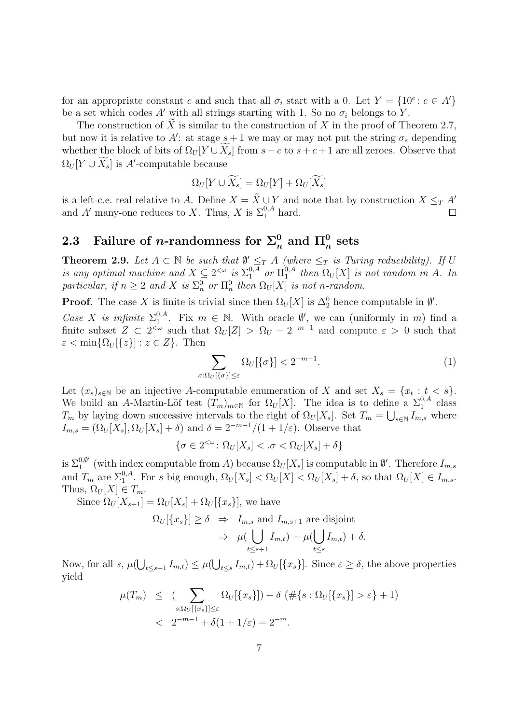for an appropriate constant c and such that all  $\sigma_i$  start with a 0. Let  $Y = \{10^e : e \in A'\}$ be a set which codes A' with all strings starting with 1. So no  $\sigma_i$  belongs to Y.

The construction of  $\widetilde{X}$  is similar to the construction of X in the proof of Theorem 2.7, but now it is relative to A: at stage  $s + 1$  we may or may not put the string  $\sigma_s$  depending whether the block of bits of  $\Omega_U[Y \cup X_s]$  from  $s - c$  to  $s + c + 1$  are all zeroes. Observe that  $\Omega_U[Y \cup \overline{X}_s]$  is A'-computable because

$$
\Omega_{U}[Y\cup \widetilde{X_s}]=\Omega_{U}[Y]+\Omega_{U}[\widetilde{X_s}]
$$

is a left-c.e. real relative to A. Define  $X = \tilde{X} \cup Y$  and note that by construction  $X \leq_T A'$ and A' many-one reduces to X. Thus, X is  $\Sigma_1^{0,A}$  hard.  $\Box$ 

# 2.3 Failure of *n*-randomness for  $\Sigma^0_n$  and  $\Pi^0_n$  sets

**Theorem 2.9.** Let  $A \subset \mathbb{N}$  be such that  $\emptyset' \leq_T A$  (where  $\leq_T$  is Turing reducibility). If U is any optimal machine and  $X \subseteq 2^{<\omega}$  is  $\Sigma_1^{0,A}$  or  $\Pi_1^{0,A}$  $_{1}^{0,A}$  then  $\Omega_U[X]$  is not random in A. In particular, if  $n \geq 2$  and X is  $\Sigma_n^0$  or  $\Pi_n^0$  then  $\Omega_U[X]$  is not n-random.

**Proof.** The case X is finite is trivial since then  $\Omega_U[X]$  is  $\Delta_2^0$  hence computable in  $\emptyset'$ .

Case X is infinite  $\Sigma_1^{0,A}$ <sup>0,4</sup>. Fix  $m \in \mathbb{N}$ . With oracle  $\emptyset'$ , we can (uniformly in m) find a finite subset  $Z \subset 2^{\lt \omega}$  such that  $\Omega_U[Z] > \Omega_U - 2^{-m-1}$  and compute  $\varepsilon > 0$  such that  $\varepsilon < \min\{\Omega_U[\{z\}] : z \in Z\}.$  Then

$$
\sum_{\sigma:\Omega_U[\{\sigma\}]\leq\varepsilon} \Omega_U[\{\sigma\}] < 2^{-m-1}.\tag{1}
$$

Let  $(x_s)_{s \in \mathbb{N}}$  be an injective A-computable enumeration of X and set  $X_s = \{x_t : t < s\}.$ We build an A-Martin-Löf test  $(T_m)_{m\in\mathbb{N}}$  for  $\Omega_U[X]$ . The idea is to define a  $\Sigma_1^{0,A}$  class  $T_m$  by laying down successive intervals to the right of  $\Omega_U[X_s]$ . Set  $T_m = \bigcup_{s \in \mathbb{N}} I_{m,s}$  where  $I_{m,s} = (\Omega_U[X_s], \Omega_U[X_s] + \delta)$  and  $\delta = 2^{-m-1}/(1+1/\varepsilon)$ . Observe that

$$
\{\sigma\in 2^{<\omega}\colon \Omega_{U}[X_s]<.\sigma<\Omega_{U}[X_s]+\delta\}
$$

is  $\Sigma_1^{0,\emptyset'}$  $\Omega_1^{0,\emptyset'}$  (with index computable from A) because  $\Omega_U[X_s]$  is computable in  $\emptyset'$ . Therefore  $I_{m,s}$ and  $T_m$  are  $\Sigma_1^{0,A}$ . For s big enough,  $\Omega_U[X_s] < \Omega_U[X] < \Omega_U[X_s] + \delta$ , so that  $\Omega_U[X] \in I_{m,s}$ . Thus,  $\Omega_U[X] \in T_m$ .

Since  $\Omega_U[X_{s+1}] = \Omega_U[X_s] + \Omega_U[\{x_s\}],$  we have

$$
\Omega_U[\{x_s\}] \ge \delta \Rightarrow I_{m,s} \text{ and } I_{m,s+1} \text{ are disjoint}
$$

$$
\Rightarrow \mu(\bigcup_{t \le s+1} I_{m,t}) = \mu(\bigcup_{t \le s} I_{m,t}) + \delta.
$$

Now, for all  $s, \mu(\bigcup_{t\leq s+1}I_{m,t}) \leq \mu(\bigcup_{t\leq s}I_{m,t}) + \Omega_U[\{x_s\}]$ . Since  $\varepsilon \geq \delta$ , the above properties yield

$$
\mu(T_m) \leq (\sum_{s:\Omega_U[\{x_s\}]\leq \varepsilon} \Omega_U[\{x_s\}]) + \delta \left( \# \{s : \Omega_U[\{x_s\}] > \varepsilon \} + 1 \right)
$$
  
<  $2^{-m-1} + \delta(1 + 1/\varepsilon) = 2^{-m}.$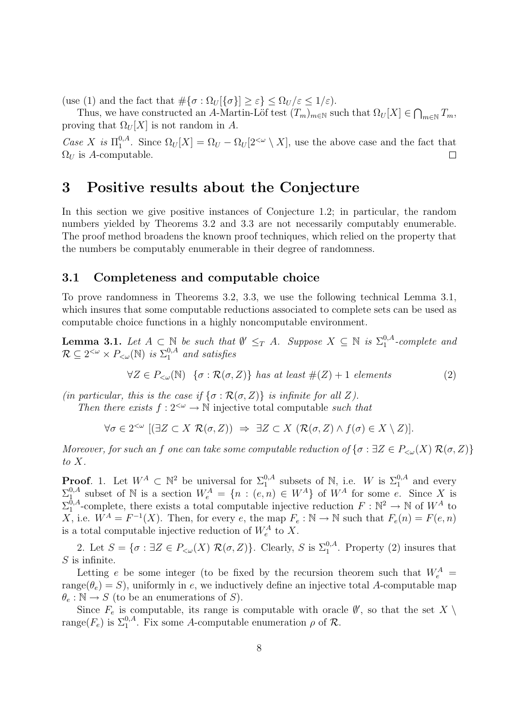(use (1) and the fact that  $\#\{\sigma : \Omega_U[\{\sigma\}] \geq \varepsilon\} \leq \Omega_U/\varepsilon \leq 1/\varepsilon$ ).

Thus, we have constructed an A-Martin-Löf test  $(T_m)_{m\in\mathbb{N}}$  such that  $\Omega_U[X] \in \bigcap_{m\in\mathbb{N}} T_m$ , proving that  $\Omega_U[X]$  is not random in A.

Case X is  $\Pi_1^{0,A}$ <sup>0,4</sup>. Since  $\Omega_U[X] = \Omega_U - \Omega_U[2^{<\omega} \setminus X]$ , use the above case and the fact that  $\Omega_U$  is A-computable.  $\Box$ 

## 3 Positive results about the Conjecture

In this section we give positive instances of Conjecture 1.2; in particular, the random numbers yielded by Theorems 3.2 and 3.3 are not necessarily computably enumerable. The proof method broadens the known proof techniques, which relied on the property that the numbers be computably enumerable in their degree of randomness.

### 3.1 Completeness and computable choice

To prove randomness in Theorems 3.2, 3.3, we use the following technical Lemma 3.1, which insures that some computable reductions associated to complete sets can be used as computable choice functions in a highly noncomputable environment.

**Lemma 3.1.** Let  $A \subset \mathbb{N}$  be such that  $\emptyset' \leq_T A$ . Suppose  $X \subseteq \mathbb{N}$  is  $\Sigma_1^{0,A}$  $_{1}^{\mathrm{o},A}$ -complete and  $\mathcal{R} \subseteq 2^{<\omega} \times P_{<\omega}(\mathbb{N})$  is  $\Sigma_1^{0,A}$  and satisfies

$$
\forall Z \in P_{\leq \omega}(\mathbb{N}) \ \{ \sigma : \mathcal{R}(\sigma, Z) \} \ has \ at \ least \#(Z) + 1 \ elements \tag{2}
$$

(in particular, this is the case if  $\{\sigma : \mathcal{R}(\sigma, Z)\}\$ is infinite for all Z).

Then there exists  $f: 2^{<\omega} \to \mathbb{N}$  injective total computable such that

$$
\forall \sigma \in 2^{<\omega} \; [(\exists Z \subset X \; \mathcal{R}(\sigma, Z)) \;\Rightarrow\; \exists Z \subset X \; (\mathcal{R}(\sigma, Z) \land f(\sigma) \in X \setminus Z)].
$$

Moreover, for such an f one can take some computable reduction of  $\{\sigma : \exists Z \in P_{\leq \omega}(X) \mathcal{R}(\sigma, Z)\}\$ to X.

**Proof.** 1. Let  $W^A \subset \mathbb{N}^2$  be universal for  $\Sigma_1^{0,A}$  subsets of  $\mathbb{N}$ , i.e. W is  $\Sigma_1^{0,A}$  and every  $\Sigma^{0,A}_1$ <sup>0,4</sup> subset of N is a section  $W_e^A = \{n : (e, n) \in W^A\}$  of  $W^A$  for some e. Since X is  $\Sigma_1^{\bar{0},A}$  $_{1}^{\bar{0},A}$ -complete, there exists a total computable injective reduction  $F:\mathbb{N}^{2}\to\mathbb{N}$  of  $W^{A}$  to X, i.e.  $W^A = F^{-1}(X)$ . Then, for every e, the map  $F_e : \mathbb{N} \to \mathbb{N}$  such that  $F_e(n) = F(e, n)$ is a total computable injective reduction of  $W_e^A$  to X.

2. Let  $S = \{ \sigma : \exists Z \in P_{\leq \omega}(X) \; \mathcal{R}(\sigma, Z) \}.$  Clearly, S is  $\Sigma_1^{0, A}$ . Property (2) insures that  $S$  is infinite.

Letting e be some integer (to be fixed by the recursion theorem such that  $W_e^A$  = range( $\theta_e$ ) = S), uniformly in e, we inductively define an injective total A-computable map  $\theta_e : \mathbb{N} \to S$  (to be an enumerations of S).

Since  $F_e$  is computable, its range is computable with oracle  $\emptyset'$ , so that the set  $X \setminus$ range( $F_e$ ) is  $\Sigma_1^{0,A}$ . Fix some A-computable enumeration  $\rho$  of  $\mathcal{R}$ .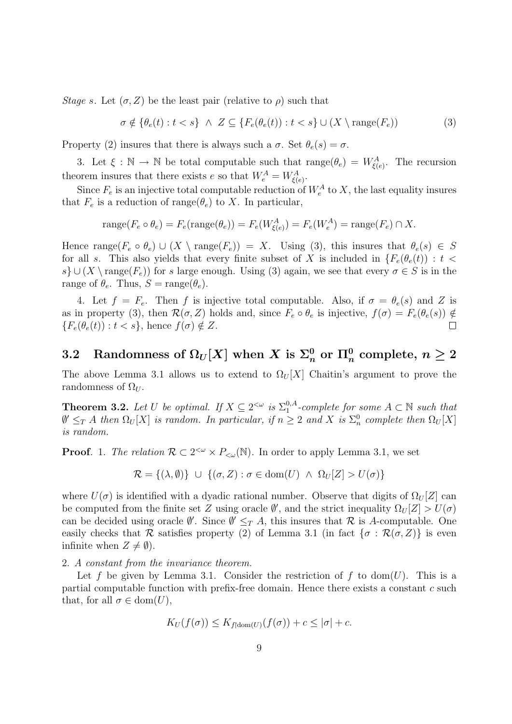Stage s. Let  $(\sigma, Z)$  be the least pair (relative to  $\rho$ ) such that

$$
\sigma \notin \{ \theta_e(t) : t < s \} \land Z \subseteq \{ F_e(\theta_e(t)) : t < s \} \cup (X \setminus \text{range}(F_e)) \tag{3}
$$

Property (2) insures that there is always such a  $\sigma$ . Set  $\theta_e(s) = \sigma$ .

3. Let  $\xi : \mathbb{N} \to \mathbb{N}$  be total computable such that  $\text{range}(\theta_e) = W_{\xi(e)}^A$ . The recursion theorem insures that there exists e so that  $W_e^A = W_{\xi(e)}^A$ .

Since  $F_e$  is an injective total computable reduction of  $W_e^A$  to X, the last equality insures that  $F_e$  is a reduction of range( $\theta_e$ ) to X. In particular,

$$
\operatorname{range}(F_e \circ \theta_e) = F_e(\operatorname{range}(\theta_e)) = F_e(W_{\xi(e)}^A) = F_e(W_e^A) = \operatorname{range}(F_e) \cap X.
$$

Hence range( $F_e \circ \theta_e$ )  $\cup (X \setminus \text{range}(F_e)) = X$ . Using (3), this insures that  $\theta_e(s) \in S$ for all s. This also yields that every finite subset of X is included in  $\{F_e(\theta_e(t)) : t <$ s}  $\cup (X \setminus \text{range}(F_e))$  for s large enough. Using (3) again, we see that every  $\sigma \in S$  is in the range of  $\theta_e$ . Thus,  $S = \text{range}(\theta_e)$ .

4. Let  $f = F_e$ . Then f is injective total computable. Also, if  $\sigma = \theta_e(s)$  and Z is as in property (3), then  $\mathcal{R}(\sigma, Z)$  holds and, since  $F_e \circ \theta_e$  is injective,  $f(\sigma) = F_e(\theta_e(s)) \notin$  ${F_e(\theta_e(t)) : t < s}$ , hence  $f(\sigma) \notin Z$ .  $\Box$ 

# 3.2 Randomness of  $\Omega_U[X]$  when  $X$  is  $\Sigma^0_n$  or  $\Pi^0_n$  complete,  $n\geq 2$

The above Lemma 3.1 allows us to extend to  $\Omega_U[X]$  Chaitin's argument to prove the randomness of  $\Omega_U$ .

**Theorem 3.2.** Let U be optimal. If  $X \subseteq 2^{<\omega}$  is  $\Sigma_1^{0,A}$  $_1^{0,A}$ -complete for some  $A \subset \mathbb{N}$  such that  $\emptyset' \leq_T A$  then  $\Omega_U[X]$  is random. In particular, if  $n \geq 2$  and X is  $\Sigma_n^0$  complete then  $\Omega_U[X]$ is random.

**Proof.** 1. The relation  $\mathcal{R} \subset 2^{<\omega} \times P_{<\omega}(\mathbb{N})$ . In order to apply Lemma 3.1, we set

$$
\mathcal{R} = \{ (\lambda, \emptyset) \} \cup \{ (\sigma, Z) : \sigma \in \text{dom}(U) \land \Omega_U[Z] > U(\sigma) \}
$$

where  $U(\sigma)$  is identified with a dyadic rational number. Observe that digits of  $\Omega_U[Z]$  can be computed from the finite set Z using oracle  $\emptyset'$ , and the strict inequality  $\Omega_U[Z] > U(\sigma)$ can be decided using oracle  $\emptyset'$ . Since  $\emptyset' \leq_T A$ , this insures that R is A-computable. One easily checks that R satisfies property (2) of Lemma 3.1 (in fact  $\{\sigma : \mathcal{R}(\sigma, Z)\}\$ is even infinite when  $Z \neq \emptyset$ ).

2. A constant from the invariance theorem.

Let f be given by Lemma 3.1. Consider the restriction of f to dom(U). This is a partial computable function with prefix-free domain. Hence there exists a constant c such that, for all  $\sigma \in \text{dom}(U)$ ,

$$
K_U(f(\sigma)) \le K_{f(\text{dom}(U)}(f(\sigma)) + c \le |\sigma| + c.
$$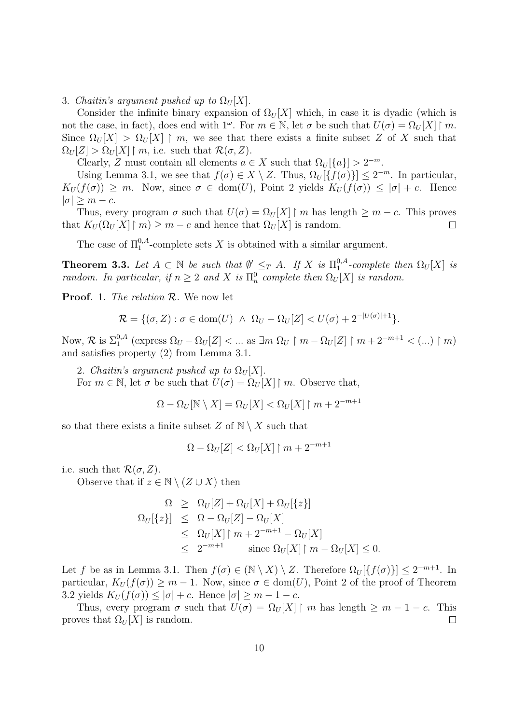3. Chaitin's argument pushed up to  $\Omega_U[X]$ .

Consider the infinite binary expansion of  $\Omega_U[X]$  which, in case it is dyadic (which is not the case, in fact), does end with  $1^{\omega}$ . For  $m \in \mathbb{N}$ , let  $\sigma$  be such that  $U(\sigma) = \Omega_U[X] \upharpoonright m$ . Since  $\Omega_U[X] > \Omega_U[X] \restriction m$ , we see that there exists a finite subset Z of X such that  $\Omega_U[Z] > \Omega_U[X] \restriction m$ , i.e. such that  $\mathcal{R}(\sigma, Z)$ .

Clearly, Z must contain all elements  $a \in X$  such that  $\Omega_U[\{a\}] > 2^{-m}$ .

Using Lemma 3.1, we see that  $f(\sigma) \in X \setminus Z$ . Thus,  $\Omega_U[\{f(\sigma)\}] \leq 2^{-m}$ . In particular,  $K_U(f(\sigma)) \geq m$ . Now, since  $\sigma \in \text{dom}(U)$ , Point 2 yields  $K_U(f(\sigma)) \leq |\sigma| + c$ . Hence  $|\sigma| \geq m - c$ .

Thus, every program  $\sigma$  such that  $U(\sigma) = \Omega_U[X] \restriction m$  has length  $\geq m - c$ . This proves that  $K_U(\Omega_U[X] \restriction m) \geq m - c$  and hence that  $\Omega_U[X]$  is random.  $\Box$ 

The case of  $\Pi_1^{0,A}$ -complete sets X is obtained with a similar argument.

**Theorem 3.3.** Let  $A \subset \mathbb{N}$  be such that  $\emptyset' \leq_T A$ . If X is  $\Pi_1^{0,A}$  $_{1}^{0,A}$ -complete then  $\Omega_{U}[X]$  is random. In particular, if  $n \geq 2$  and X is  $\Pi_n^0$  complete then  $\Omega_U[X]$  is random.

Proof. 1. The relation  $\mathcal{R}$ . We now let

$$
\mathcal{R} = \{(\sigma, Z) : \sigma \in \text{dom}(U) \ \land \ \Omega_U - \Omega_U[Z] < U(\sigma) + 2^{-|U(\sigma)|+1}\}.
$$

Now,  $\mathcal{R}$  is  $\Sigma_1^{0,A}$  (express  $\Omega_U - \Omega_U[Z] < ...$  as  $\exists m \Omega_U \upharpoonright m - \Omega_U[Z] \upharpoonright m + 2^{-m+1} < ... \upharpoonright m$ ) and satisfies property (2) from Lemma 3.1.

2. Chaitin's argument pushed up to  $\Omega_U[X]$ .

For  $m \in \mathbb{N}$ , let  $\sigma$  be such that  $U(\sigma) = \Omega_U[X] \restriction m$ . Observe that,

$$
\Omega - \Omega_U[N \setminus X] = \Omega_U[X] < \Omega_U[X] \upharpoonright m + 2^{-m+1}
$$

so that there exists a finite subset  $Z$  of  $N \setminus X$  such that

$$
\Omega - \Omega_U[Z] < \Omega_U[X] \upharpoonright m + 2^{-m+1}
$$

i.e. such that  $\mathcal{R}(\sigma, Z)$ .

Observe that if  $z \in \mathbb{N} \setminus (Z \cup X)$  then

$$
\Omega \geq \Omega_U[Z] + \Omega_U[X] + \Omega_U[\{z\}]
$$
  
\n
$$
\Omega_U[\{z\}] \leq \Omega - \Omega_U[Z] - \Omega_U[X]
$$
  
\n
$$
\leq \Omega_U[X] \upharpoonright m + 2^{-m+1} - \Omega_U[X]
$$
  
\n
$$
\leq 2^{-m+1} \qquad \text{since } \Omega_U[X] \upharpoonright m - \Omega_U[X] \leq 0.
$$

Let f be as in Lemma 3.1. Then  $f(\sigma) \in (\mathbb{N} \setminus X) \setminus Z$ . Therefore  $\Omega_U[\{f(\sigma)\}] \leq 2^{-m+1}$ . In particular,  $K_U(f(\sigma)) \geq m-1$ . Now, since  $\sigma \in \text{dom}(U)$ , Point 2 of the proof of Theorem 3.2 yields  $K_U(f(\sigma)) \leq |\sigma| + c$ . Hence  $|\sigma| \geq m - 1 - c$ .

Thus, every program  $\sigma$  such that  $U(\sigma) = \Omega_U[X] \restriction m$  has length  $\geq m - 1 - c$ . This proves that  $\Omega_U[X]$  is random.  $\Box$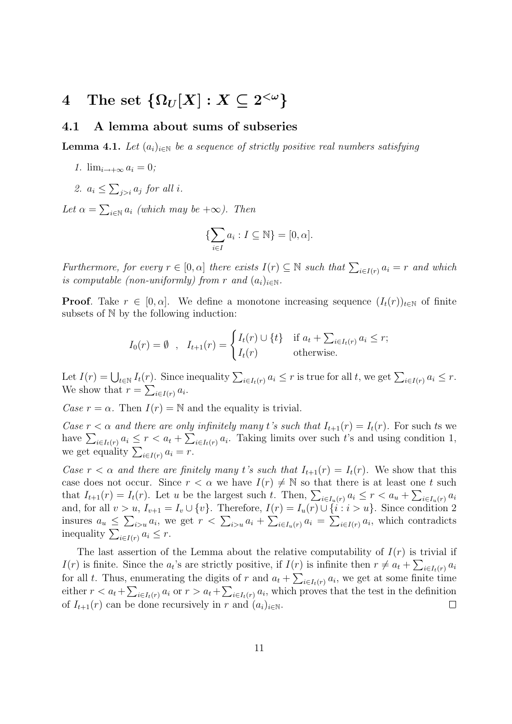# $4 \quad \text{The set } \left\{ \Omega_{U}[X] : X \subseteq 2^{<\omega} \right\}$

### 4.1 A lemma about sums of subseries

**Lemma 4.1.** Let  $(a_i)_{i\in\mathbb{N}}$  be a sequence of strictly positive real numbers satisfying

- 1.  $\lim_{i\to+\infty} a_i = 0;$
- 2.  $a_i \leq \sum_{j>i} a_j$  for all i.

Let  $\alpha = \sum_{i \in \mathbb{N}} a_i$  (which may be  $+\infty$ ). Then

$$
\{\sum_{i\in I} a_i : I \subseteq \mathbb{N}\} = [0, \alpha].
$$

Furthermore, for every  $r \in [0, \alpha]$  there exists  $I(r) \subseteq \mathbb{N}$  such that  $\sum_{i \in I(r)} a_i = r$  and which is computable (non-uniformly) from r and  $(a_i)_{i\in\mathbb{N}}$ .

**Proof.** Take  $r \in [0, \alpha]$ . We define a monotone increasing sequence  $(I_t(r))_{t \in \mathbb{N}}$  of finite subsets of N by the following induction:

$$
I_0(r) = \emptyset \quad, \quad I_{t+1}(r) = \begin{cases} I_t(r) \cup \{t\} & \text{if } a_t + \sum_{i \in I_t(r)} a_i \le r; \\ I_t(r) & \text{otherwise.} \end{cases}
$$

Let  $I(r) = \bigcup_{t \in \mathbb{N}} I_t(r)$ . Since inequality  $\sum_{i \in I_t(r)} a_i \leq r$  is true for all t, we get  $\sum_{i \in I(r)} a_i \leq r$ . We show that  $r = \sum_{i \in I(r)} a_i$ .

Case  $r = \alpha$ . Then  $I(r) = \mathbb{N}$  and the equality is trivial.

Case  $r < \alpha$  and there are only infinitely many t's such that  $I_{t+1}(r) = I_t(r)$ . For such ts we have  $\sum_{i\in I_t(r)} a_i \leq r < a_t + \sum_{i\in I_t(r)} a_i$ . Taking limits over such t's and using condition 1, we get equality  $\sum_{i \in I(r)} a_i = r$ .

Case  $r < \alpha$  and there are finitely many t's such that  $I_{t+1}(r) = I_t(r)$ . We show that this case does not occur. Since  $r < \alpha$  we have  $I(r) \neq \mathbb{N}$  so that there is at least one t such that  $I_{t+1}(r) = I_t(r)$ . Let u be the largest such t. Then,  $\sum_{i \in I_u(r)} a_i \leq r < a_u + \sum_{i \in I_u(r)} a_i$ and, for all  $v > u$ ,  $I_{v+1} = I_v \cup \{v\}$ . Therefore,  $I(r) = I_u(r) \cup \{i : i > u\}$ . Since condition 2 insures  $a_u \leq \sum_{i>u} a_i$ , we get  $r < \sum_{i>u} a_i + \sum_{i \in I_u(r)} a_i = \sum_{i \in I(r)} a_i$ , which contradicts inequality  $\sum_{i \in I(r)} a_i \leq r$ .

The last assertion of the Lemma about the relative computability of  $I(r)$  is trivial if  $I(r)$  is finite. Since the  $a_i$ 's are strictly positive, if  $I(r)$  is infinite then  $r \neq a_t + \sum_{i \in I_t(r)} a_i$ for all t. Thus, enumerating the digits of r and  $a_t + \sum_{i \in I_t(r)} a_i$ , we get at some finite time either  $r < a_t + \sum_{i \in I_t(r)} a_i$  or  $r > a_t + \sum_{i \in I_t(r)} a_i$ , which proves that the test in the definition of  $I_{t+1}(r)$  can be done recursively in r and  $(a_i)_{i\in\mathbb{N}}$ .  $\Box$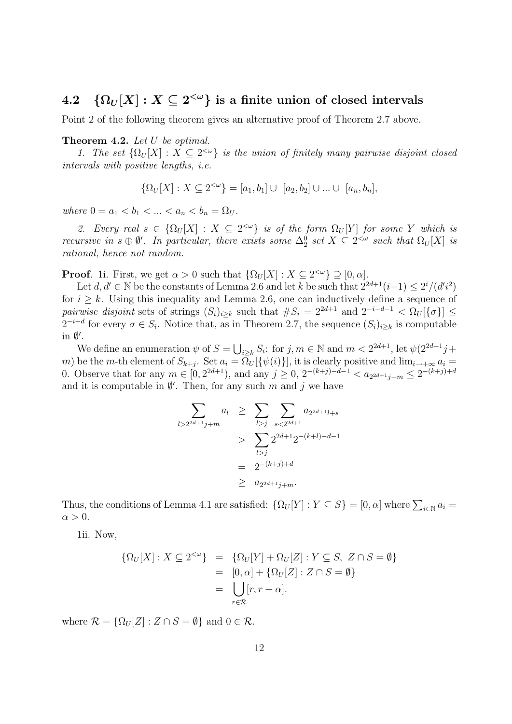## $4.2\quad \{\Omega_U[X]: X\subseteq 2^{<\omega}\} \,\,\hbox{is a finite union of closed intervals}$

Point 2 of the following theorem gives an alternative proof of Theorem 2.7 above.

#### Theorem 4.2. Let U be optimal.

1. The set  $\{\Omega_U[X]: X \subseteq 2^{<\omega}\}\$ is the union of finitely many pairwise disjoint closed intervals with positive lengths, i.e.

$$
\{\Omega_{U}[X]: X\subseteq 2^{<\omega}\}=[a_1,b_1]\cup\ [a_2,b_2]\cup\ldots\cup\ [a_n,b_n],
$$

where  $0 = a_1 < b_1 < ... < a_n < b_n = \Omega_U$ .

2. Every real  $s \in {\Omega_U[X]} : X \subseteq 2^{<\omega}$  is of the form  $\Omega_U[Y]$  for some Y which is recursive in  $s \oplus \emptyset'$ . In particular, there exists some  $\Delta_2^0$  set  $X \subseteq 2^{<\omega}$  such that  $\Omega_U[X]$  is rational, hence not random.

**Proof.** 1i. First, we get  $\alpha > 0$  such that  $\{\Omega_U[X] : X \subseteq 2^{&\omega}\} \supseteq [0, \alpha]$ .

Let  $d, d' \in \mathbb{N}$  be the constants of Lemma 2.6 and let k be such that  $2^{2d+1}(i+1) \leq 2^i/(d'i^2)$ for  $i \geq k$ . Using this inequality and Lemma 2.6, one can inductively define a sequence of pairwise disjoint sets of strings  $(S_i)_{i\geq k}$  such that  $\#S_i = 2^{2d+1}$  and  $2^{-i-d-1} < \Omega_U[\{\sigma\}] \leq$  $2^{-i+d}$  for every  $\sigma \in S_i$ . Notice that, as in Theorem 2.7, the sequence  $(S_i)_{i\geq k}$  is computable in  $\emptyset'$ .

We define an enumeration  $\psi$  of  $S = \bigcup_{i \geq k} S_i$ : for  $j, m \in \mathbb{N}$  and  $m < 2^{2d+1}$ , let  $\psi(2^{2d+1}j +$ m) be the m-th element of  $S_{k+j}$ . Set  $a_i = \overline{\Omega}_U[\{\psi(i)\}]$ , it is clearly positive and  $\lim_{i \to +\infty} a_i =$ 0. Observe that for any  $m \in [0, 2^{2d+1})$ , and any  $j \ge 0$ ,  $2^{-(k+j)-d-1} < a_{2^{2d+1}j+m} \le 2^{-(k+j)+d}$ and it is computable in  $\emptyset'$ . Then, for any such m and j we have

$$
\sum_{l>2^{2d+1}j+m} a_l \geq \sum_{l>j} \sum_{s<2^{2d+1}} a_{2^{2d+1}l+s}
$$
  
> 
$$
\sum_{l>j} 2^{2d+1} 2^{-(k+l)-d-1}
$$
  
= 
$$
2^{-(k+j)+d}
$$
  

$$
\geq a_{2^{2d+1}j+m}.
$$

Thus, the conditions of Lemma 4.1 are satisfied:  $\{\Omega_U[Y] : Y \subseteq S\} = [0, \alpha]$  where  $\sum_{i \in \mathbb{N}} a_i =$  $\alpha > 0$ .

1ii. Now,

$$
\begin{aligned} \{\Omega_U[X]: X \subseteq 2^{<\omega}\} &= \{\Omega_U[Y] + \Omega_U[Z] : Y \subseteq S, \ Z \cap S = \emptyset\} \\ &= [0, \alpha] + \{\Omega_U[Z] : Z \cap S = \emptyset\} \\ &= \bigcup_{r \in \mathcal{R}} [r, r + \alpha]. \end{aligned}
$$

where  $\mathcal{R} = {\Omega_U[Z] : Z \cap S = \emptyset}$  and  $0 \in \mathcal{R}$ .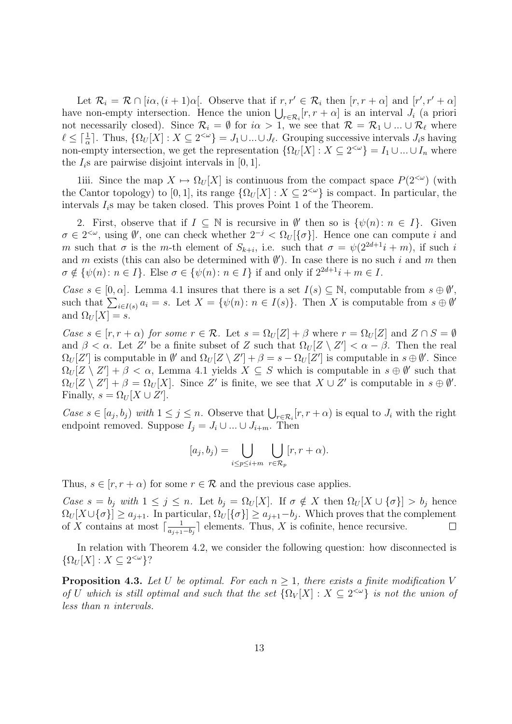Let  $\mathcal{R}_i = \mathcal{R} \cap [i\alpha, (i+1)\alpha]$ . Observe that if  $r, r' \in \mathcal{R}_i$  then  $[r, r + \alpha]$  and  $[r', r' + \alpha]$ have non-empty intersection. Hence the union  $\bigcup_{r \in \mathcal{R}_i} [r, r + \alpha]$  is an interval  $J_i$  (a priori not necessarily closed). Since  $\mathcal{R}_i = \emptyset$  for  $i\alpha > 1$ , we see that  $\mathcal{R} = \mathcal{R}_1 \cup ... \cup \mathcal{R}_\ell$  where  $\ell \leq \lceil \frac{1}{\alpha} \rceil$ . Thus,  $\{\Omega_U[X] : X \subseteq 2^{<\omega}\} = J_1 \cup ... \cup J_\ell$ . Grouping successive intervals  $J_i$ s having non-empty intersection, we get the representation  $\{\Omega_U[X]: X \subseteq 2^{&\omega}\}=I_1 \cup ... \cup I_n$  where the  $I_i$ s are pairwise disjoint intervals in [0, 1].

1iii. Since the map  $X \mapsto \Omega_U[X]$  is continuous from the compact space  $P(2^{<\omega})$  (with the Cantor topology) to [0, 1], its range  ${\Omega_U[X] : X \subseteq 2^{&\omega} }$  is compact. In particular, the intervals  $I_i$ s may be taken closed. This proves Point 1 of the Theorem.

2. First, observe that if  $I \subseteq \mathbb{N}$  is recursive in  $\emptyset'$  then so is  $\{\psi(n): n \in I\}$ . Given  $\sigma \in 2^{<\omega}$ , using  $\emptyset'$ , one can check whether  $2^{-j} < \Omega_U[\{\sigma\}]$ . Hence one can compute i and m such that  $\sigma$  is the m-th element of  $S_{k+i}$ , i.e. such that  $\sigma = \psi(2^{2d+1}i + m)$ , if such i and m exists (this can also be determined with  $\emptyset'$ ). In case there is no such i and m then  $\sigma \notin {\psi(n) : n \in I}$ . Else  $\sigma \in {\psi(n) : n \in I}$  if and only if  $2^{2d+1}i + m \in I$ .

Case  $s \in [0, \alpha]$ . Lemma 4.1 insures that there is a set  $I(s) \subseteq \mathbb{N}$ , computable from  $s \oplus \emptyset'$ , such that  $\sum_{i\in I(s)} a_i = s$ . Let  $X = {\psi(n): n \in I(s)}$ . Then X is computable from  $s \oplus \emptyset'$ and  $\Omega_U[X] = s$ .

Case  $s \in [r, r + \alpha)$  for some  $r \in \mathcal{R}$ . Let  $s = \Omega_U[Z] + \beta$  where  $r = \Omega_U[Z]$  and  $Z \cap S = \emptyset$ and  $\beta < \alpha$ . Let Z' be a finite subset of Z such that  $\Omega_U[Z \setminus Z'] < \alpha - \beta$ . Then the real  $\Omega_U[Z']$  is computable in  $\emptyset'$  and  $\Omega_U[Z \setminus Z'] + \beta = s - \Omega_U[Z']$  is computable in  $s \oplus \emptyset'$ . Since  $\Omega_U[Z \setminus Z'] + \beta < \alpha$ , Lemma 4.1 yields  $X \subseteq S$  which is computable in  $s \oplus \emptyset'$  such that  $\Omega_U[Z \setminus Z'] + \beta = \Omega_U[X]$ . Since Z' is finite, we see that  $X \cup Z'$  is computable in  $s \oplus \emptyset'$ . Finally,  $s = \Omega_U[X \cup Z']$ .

Case  $s \in [a_j, b_j)$  with  $1 \leq j \leq n$ . Observe that  $\bigcup_{r \in \mathcal{R}_i} [r, r + \alpha)$  is equal to  $J_i$  with the right endpoint removed. Suppose  $I_j = J_i \cup ... \cup J_{i+m}$ . Then

$$
[a_j, b_j) = \bigcup_{i \le p \le i+m} \bigcup_{r \in \mathcal{R}_p} [r, r + \alpha).
$$

Thus,  $s \in [r, r + \alpha)$  for some  $r \in \mathcal{R}$  and the previous case applies.

Case  $s = b_j$  with  $1 \le j \le n$ . Let  $b_j = \Omega_U[X]$ . If  $\sigma \notin X$  then  $\Omega_U[X \cup {\sigma}] > b_j$  hence  $\Omega_U[X\cup\{\sigma\}] \ge a_{j+1}$ . In particular,  $\Omega_U[\{\sigma\}] \ge a_{j+1}-b_j$ . Which proves that the complement of X contains at most  $\lceil \frac{1}{q+1} \rceil$  $\frac{1}{a_{j+1}-b_j}$  elements. Thus, X is cofinite, hence recursive.  $\Box$ 

In relation with Theorem 4.2, we consider the following question: how disconnected is  $\{\Omega_U[X]: X\subseteq 2^{&\omega}\}$ ?

**Proposition 4.3.** Let U be optimal. For each  $n > 1$ , there exists a finite modification V of U which is still optimal and such that the set  $\{\Omega_V[X]: X \subseteq 2^{\lt \omega}\}\$ is not the union of less than n intervals.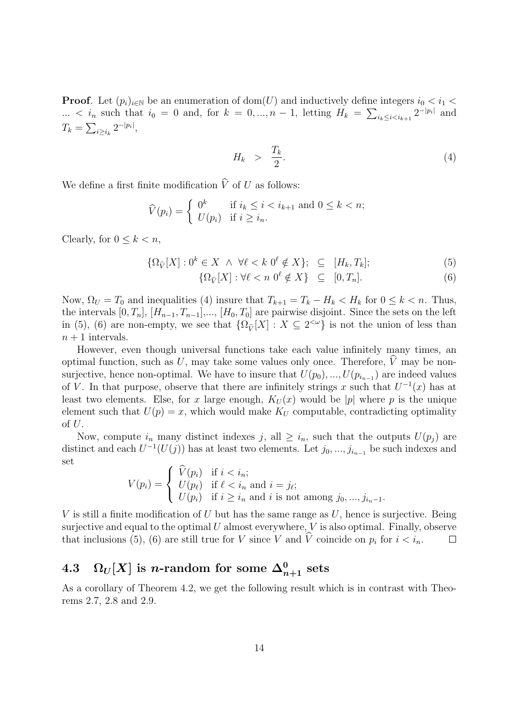**Proof.** Let  $(p_i)_{i\in\mathbb{N}}$  be an enumeration of dom(U) and inductively define integers  $i_0 < i_1$ ...  $\langle i_n \rangle$  such that  $i_0 = 0$  and, for  $k = 0, ..., n - 1$ , letting  $H_k = \sum_{i_k \leq i \leq i_{k+1}} 2^{-|p_i|}$  and  $T_k = \sum_{i \geq i_k} 2^{-|p_i|},$ 

$$
H_k > \frac{T_k}{2}.\tag{4}
$$

We define a first finite modification  $\hat{V}$  of U as follows:

$$
\widehat{V}(p_i) = \begin{cases} 0^k & \text{if } i_k \le i < i_{k+1} \text{ and } 0 \le k < n; \\ U(p_i) & \text{if } i \ge i_n. \end{cases}
$$

Clearly, for  $0 \leq k < n$ ,

$$
\{\Omega_{\widehat{V}}[X] : 0^k \in X \quad \land \ \forall \ell < k \ 0^\ell \notin X\}; \quad \subseteq \quad [H_k, T_k];
$$
\n
$$
\{\Omega_{\widehat{V}}[X] : \forall \ell < n \ 0^\ell \notin X\} \quad \subseteq \quad [0, T_n].
$$
\n
$$
(5)
$$
\n
$$
(6)
$$

$$
\{\Omega_{\widehat{V}}[X] : \forall \ell < n \ 0^{\ell} \notin X\} \subseteq [0, T_n].\tag{6}
$$

Now,  $\Omega_U = T_0$  and inequalities (4) insure that  $T_{k+1} = T_k - H_k < H_k$  for  $0 \leq k < n$ . Thus, the intervals  $[0, T_n]$ ,  $[H_{n-1}, T_{n-1}]$ ,...,  $[H_0, T_0]$  are pairwise disjoint. Since the sets on the left in (5), (6) are non-empty, we see that  $\{\Omega_{\hat{V}}[X] : X \subseteq 2^{\langle \omega \rangle}\}$  is not the union of less than in (5), (6) are non-empty, we see that  $\{\Omega_{\hat{V}}[X] : X \subseteq 2^{\langle \omega \rangle}\}$  is not the union of less than  $n+1$  intervals.

However, even though universal functions take each value infinitely many times, an optimal function, such as U, may take some values only once. Therefore,  $\hat{V}$  may be nonsurjective, hence non-optimal. We have to insure that  $U(p_0), ..., U(p_{i_{n-1}})$  are indeed values of V. In that purpose, observe that there are infinitely strings x such that  $U^{-1}(x)$  has at least two elements. Else, for x large enough,  $K_U(x)$  would be |p| where p is the unique element such that  $U(p) = x$ , which would make  $K_U$  computable, contradicting optimality of  $U$ .

Now, compute  $i_n$  many distinct indexes j, all  $\geq i_n$ , such that the outputs  $U(p_i)$  are distinct and each  $U^{-1}(U(j))$  has at least two elements. Let  $j_0, ..., j_{i_{n-1}}$  be such indexes and set

$$
V(p_i) = \begin{cases} \n\widehat{V}(p_i) & \text{if } i < i_n; \\ \nU(p_\ell) & \text{if } \ell < i_n \text{ and } i = j_\ell; \\ \nU(p_i) & \text{if } i \ge i_n \text{ and } i \text{ is not among } j_0, \dots, j_{i_n-1}. \n\end{cases}
$$

V is still a finite modification of U but has the same range as  $U$ , hence is surjective. Being surjective and equal to the optimal  $U$  almost everywhere,  $V$  is also optimal. Finally, observe that inclusions (5), (6) are still true for V since V and V coincide on  $p_i$  for  $i < i_n$ .  $\Box$ 

# $4.3 \quad \Omega_{U}[X] \; \text{is $n$-random for some} \; \Delta^0_{n+1} \; \text{sets}$

As a corollary of Theorem 4.2, we get the following result which is in contrast with Theorems 2.7, 2.8 and 2.9.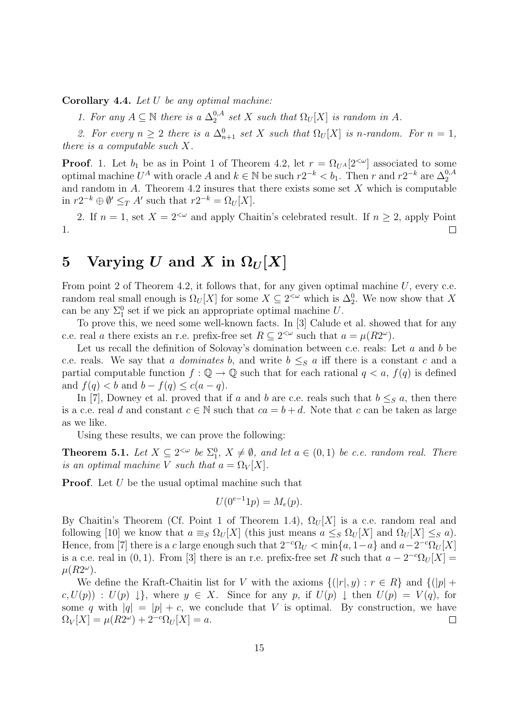Corollary 4.4. Let  $U$  be any optimal machine:

1. For any  $A \subseteq \mathbb{N}$  there is a  $\Delta_2^{0,A}$  $_{2}^{0,A}$  set X such that  $\Omega_U[X]$  is random in A.

2. For every  $n \geq 2$  there is a  $\Delta_{n+1}^0$  set X such that  $\Omega_U[X]$  is n-random. For  $n = 1$ , there is a computable such X.

**Proof.** 1. Let  $b_1$  be as in Point 1 of Theorem 4.2, let  $r = \Omega_{U^A}[2^{<\omega}]$  associated to some optimal machine  $U^A$  with oracle A and  $k \in \mathbb{N}$  be such  $r2^{-k} < b_1$ . Then r and  $r2^{-k}$  are  $\Delta_2^{0, A}$ and random in A. Theorem 4.2 insures that there exists some set X which is computable in  $r2^{-k} \oplus \emptyset' \leq_T A'$  such that  $r2^{-k} = \Omega_U[X]$ .

2. If  $n = 1$ , set  $X = 2^{\lt \omega}$  and apply Chaitin's celebrated result. If  $n \ge 2$ , apply Point 1.  $\Box$ 

## 5 Varying U and X in  $\Omega_U[X]$

From point 2 of Theorem 4.2, it follows that, for any given optimal machine  $U$ , every c.e. random real small enough is  $\Omega_U[X]$  for some  $X \subseteq 2^{\lt \omega}$  which is  $\Delta_2^0$ . We now show that X can be any  $\Sigma_1^0$  set if we pick an appropriate optimal machine U.

To prove this, we need some well-known facts. In [3] Calude et al. showed that for any c.e. real a there exists an r.e. prefix-free set  $R \subseteq 2^{<\omega}$  such that  $a = \mu(R2^{\omega})$ .

Let us recall the definition of Solovay's domination between c.e. reals: Let  $a$  and  $b$  be c.e. reals. We say that a dominates b, and write  $b \leq_{S} a$  iff there is a constant c and a partial computable function  $f: \mathbb{Q} \to \mathbb{Q}$  such that for each rational  $q < a$ ,  $f(q)$  is defined and  $f(q) < b$  and  $b - f(q) \leq c(a - q)$ .

In [7], Downey et al. proved that if a and b are c.e. reals such that  $b \leq_S a$ , then there is a c.e. real d and constant  $c \in \mathbb{N}$  such that  $ca = b + d$ . Note that c can be taken as large as we like.

Using these results, we can prove the following:

**Theorem 5.1.** Let  $X \subseteq 2^{\lt \omega}$  be  $\Sigma_1^0$ ,  $X \neq \emptyset$ , and let  $a \in (0,1)$  be c.e. random real. There is an optimal machine V such that  $a = \Omega_V[X]$ .

**Proof.** Let U be the usual optimal machine such that

$$
U(0^{e-1}1p) = M_e(p).
$$

By Chaitin's Theorem (Cf. Point 1 of Theorem 1.4),  $\Omega_U[X]$  is a c.e. random real and following [10] we know that  $a \equiv_S \Omega_U[X]$  (this just means  $a \le_S \Omega_U[X]$  and  $\Omega_U[X] \le_S a$ ). Hence, from [7] there is a c large enough such that  $2^{-c}\Omega_U < \min\{a, 1-a\}$  and  $a-2^{-c}\Omega_U[X]$ is a c.e. real in (0, 1). From [3] there is an r.e. prefix-free set R such that  $a - 2^{-c} \Omega_U[X] =$  $\mu(R2^{\omega})$ .

We define the Kraft-Chaitin list for V with the axioms  $\{(|r|, y) : r \in R\}$  and  $\{(|p| +$  $c, U(p)$ :  $U(p) \downarrow$ , where  $y \in X$ . Since for any p, if  $U(p) \downarrow$  then  $U(p) = V(q)$ , for some q with  $|q| = |p| + c$ , we conclude that V is optimal. By construction, we have  $\Omega_V[X] = \mu(R2^{\omega}) + 2^{-c}\Omega_U[X] = a.$  $\Box$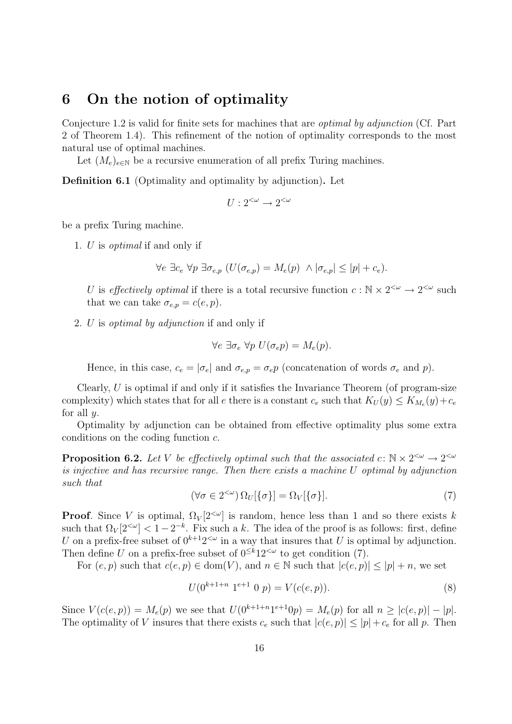## 6 On the notion of optimality

Conjecture 1.2 is valid for finite sets for machines that are optimal by adjunction (Cf. Part 2 of Theorem 1.4). This refinement of the notion of optimality corresponds to the most natural use of optimal machines.

Let  $(M_e)_{e \in \mathbb{N}}$  be a recursive enumeration of all prefix Turing machines.

Definition 6.1 (Optimality and optimality by adjunction). Let

$$
U:2^{<\omega}\to 2^{<\omega}
$$

be a prefix Turing machine.

1. U is optimal if and only if

$$
\forall e \ \exists c_e \ \forall p \ \exists \sigma_{e,p} \ (U(\sigma_{e,p}) = M_e(p) \ \land |\sigma_{e,p}| \leq |p| + c_e).
$$

U is effectively optimal if there is a total recursive function  $c : \mathbb{N} \times 2^{\leq \omega} \to 2^{\leq \omega}$  such that we can take  $\sigma_{e,p} = c(e,p)$ .

2. U is optimal by adjunction if and only if

$$
\forall e \; \exists \sigma_e \; \forall p \; U(\sigma_e p) = M_e(p).
$$

Hence, in this case,  $c_e = |\sigma_e|$  and  $\sigma_{e,p} = \sigma_e p$  (concatenation of words  $\sigma_e$  and p).

Clearly,  $U$  is optimal if and only if it satisfies the Invariance Theorem (of program-size complexity) which states that for all e there is a constant  $c_e$  such that  $K_U(y) \le K_{M_e}(y) + c_e$ for all  $y$ .

Optimality by adjunction can be obtained from effective optimality plus some extra conditions on the coding function c.

**Proposition 6.2.** Let V be effectively optimal such that the associated  $c: \mathbb{N} \times 2^{\leq \omega} \to 2^{\leq \omega}$ is injective and has recursive range. Then there exists a machine U optimal by adjunction such that

$$
(\forall \sigma \in 2^{<\omega}) \Omega_U[\{\sigma\}] = \Omega_V[\{\sigma\}]. \tag{7}
$$

**Proof.** Since V is optimal,  $\Omega_V[2^{<\omega}]$  is random, hence less than 1 and so there exists k such that  $\Omega_V[2^{<\omega}] < 1-2^{-k}$ . Fix such a k. The idea of the proof is as follows: first, define U on a prefix-free subset of  $0^{k+1}2<sup>{\omega}</sup>$  in a way that insures that U is optimal by adjunction. Then define U on a prefix-free subset of  $0 \le k_1 2 \le \omega$  to get condition (7).

For  $(e, p)$  such that  $c(e, p) \in dom(V)$ , and  $n \in \mathbb{N}$  such that  $|c(e, p)| \leq |p| + n$ , we set

$$
U(0^{k+1+n} 1^{e+1} 0 p) = V(c(e,p)).
$$
\n(8)

Since  $V(c(e, p)) = M_e(p)$  we see that  $U(0^{k+1+n}1^{e+1}0p) = M_e(p)$  for all  $n \ge |c(e, p)| - |p|$ . The optimality of V insures that there exists  $c_e$  such that  $|c(e, p)| \le |p| + c_e$  for all p. Then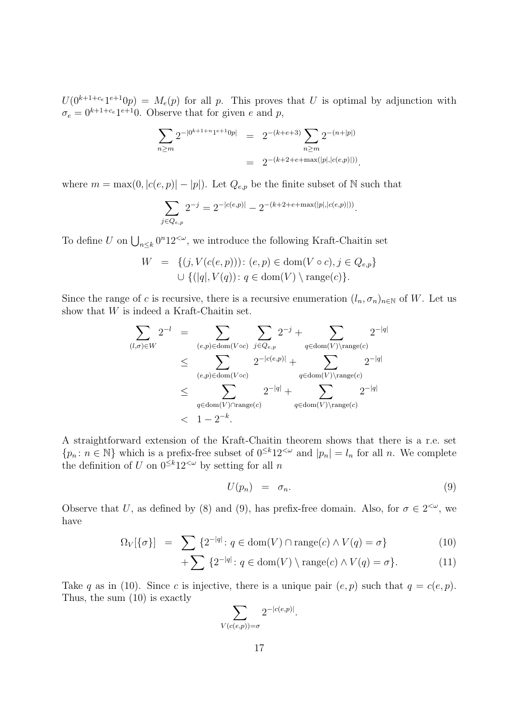$U(0^{k+1+c_{e}}1^{e+1}0p) = M_{e}(p)$  for all p. This proves that U is optimal by adjunction with  $\sigma_e = 0^{k+1+c_e} 1^{e+1} 0$ . Observe that for given e and p,

$$
\sum_{n \ge m} 2^{-|0^{k+1+n}1^{e+1}0p|} = 2^{-(k+e+3)} \sum_{n \ge m} 2^{-(n+|p|)} = 2^{-(k+2+e+\max(|p|,|c(e,p)|))}.
$$

where  $m = \max(0, |c(e, p)| - |p|)$ . Let  $Q_{e,p}$  be the finite subset of N such that

$$
\sum_{j \in Q_{e,p}} 2^{-j} = 2^{-|c(e,p)|} - 2^{-(k+2+e+\max(|p|,|c(e,p)|))}.
$$

To define U on  $\bigcup_{n\leq k} 0^n 12^{<\omega}$ , we introduce the following Kraft-Chaitin set

$$
W = \{ (j, V(c(e, p))): (e, p) \in \text{dom}(V \circ c), j \in Q_{e,p} \} \cup \{ (|q|, V(q)) : q \in \text{dom}(V) \setminus \text{range}(c) \}.
$$

Since the range of c is recursive, there is a recursive enumeration  $(l_n, \sigma_n)_{n\in\mathbb{N}}$  of W. Let us show that W is indeed a Kraft-Chaitin set.

$$
\sum_{(l,\sigma)\in W} 2^{-l} = \sum_{(e,p)\in \text{dom}(V \circ c)} \sum_{j \in Q_{e,p}} 2^{-j} + \sum_{q \in \text{dom}(V) \setminus \text{range}(c)} 2^{-|q|}
$$
\n
$$
\leq \sum_{(e,p)\in \text{dom}(V \circ c)} 2^{-|c(e,p)|} + \sum_{q \in \text{dom}(V) \setminus \text{range}(c)} 2^{-|q|}
$$
\n
$$
\leq \sum_{q \in \text{dom}(V) \cap \text{range}(c)} 2^{-|q|} + \sum_{q \in \text{dom}(V) \setminus \text{range}(c)} 2^{-|q|}
$$
\n
$$
< 1 - 2^{-k}.
$$

A straightforward extension of the Kraft-Chaitin theorem shows that there is a r.e. set  ${p_n : n \in \mathbb{N}}$  which is a prefix-free subset of  $0 \le k_1 2 \le \omega$  and  $|p_n| = l_n$  for all n. We complete the definition of U on  $0 \le k_1 2 \le \omega$  by setting for all n

$$
U(p_n) = \sigma_n. \tag{9}
$$

Observe that U, as defined by (8) and (9), has prefix-free domain. Also, for  $\sigma \in 2^{<\omega}$ , we have

$$
\Omega_V[\{\sigma\}] = \sum \{2^{-|q|} \colon q \in \text{dom}(V) \cap \text{range}(c) \land V(q) = \sigma\}
$$
\n(10)

$$
+\sum \{2^{-|q|}: q \in \text{dom}(V) \setminus \text{range}(c) \land V(q) = \sigma\}. \tag{11}
$$

Take q as in (10). Since c is injective, there is a unique pair  $(e, p)$  such that  $q = c(e, p)$ . Thus, the sum (10) is exactly

$$
\sum_{V(c(e,p))=\sigma} 2^{-|c(e,p)|}.
$$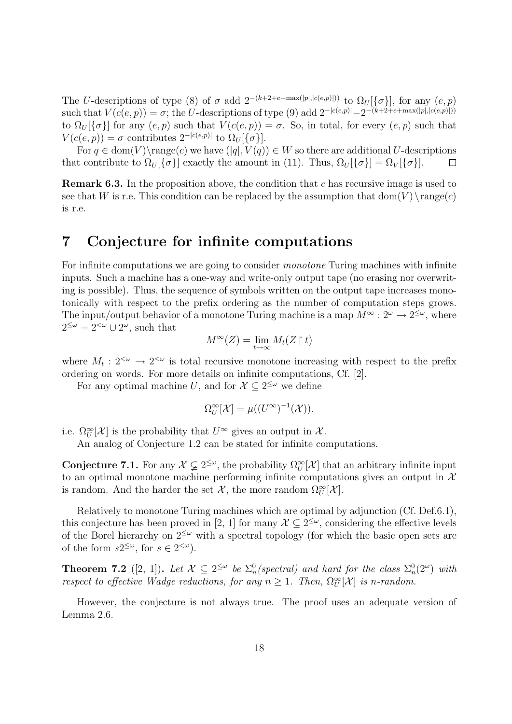The U-descriptions of type (8) of  $\sigma$  add  $2^{-(k+2+e+\max(|p|,|c(e,p)|))}$  to  $\Omega_U[\{\sigma\}]$ , for any  $(e, p)$ such that  $V(c(e, p)) = \sigma$ ; the U-descriptions of type (9) add  $2^{-|c(e, p)|} - 2^{-(k+2+e + \max(|p|, |c(e, p)|))}$ to  $\Omega_U[\{\sigma\}]$  for any  $(e, p)$  such that  $V(c(e, p)) = \sigma$ . So, in total, for every  $(e, p)$  such that  $V(c(e, p)) = \sigma$  contributes  $2^{-|c(e, p)|}$  to  $\Omega_U[\{\sigma\}].$ 

For  $q \in \text{dom}(V) \setminus \text{range}(c)$  we have  $(|q|, V(q)) \in W$  so there are additional U-descriptions that contribute to  $\Omega_U[\{\sigma\}]$  exactly the amount in (11). Thus,  $\Omega_U[\{\sigma\}] = \Omega_V[\{\sigma\}].$  $\Box$ 

**Remark 6.3.** In the proposition above, the condition that c has recursive image is used to see that W is r.e. This condition can be replaced by the assumption that  $dom(V) \setminus range(c)$ is r.e.

## 7 Conjecture for infinite computations

For infinite computations we are going to consider *monotone* Turing machines with infinite inputs. Such a machine has a one-way and write-only output tape (no erasing nor overwriting is possible). Thus, the sequence of symbols written on the output tape increases monotonically with respect to the prefix ordering as the number of computation steps grows. The input/output behavior of a monotone Turing machine is a map  $M^{\infty}: 2^{\omega} \to 2^{\leq \omega}$ , where  $2^{\leq \omega} = 2^{<\omega} \cup 2^{\omega}$ , such that

$$
M^{\infty}(Z) = \lim_{t \to \infty} M_t(Z \restriction t)
$$

where  $M_t: 2^{<\omega} \to 2^{<\omega}$  is total recursive monotone increasing with respect to the prefix ordering on words. For more details on infinite computations, Cf. [2].

For any optimal machine U, and for  $\mathcal{X} \subseteq 2^{\leq \omega}$  we define

$$
\Omega^{\infty}_U[\mathcal{X}] = \mu((U^{\infty})^{-1}(\mathcal{X})).
$$

i.e.  $\Omega_U^{\infty}[\mathcal{X}]$  is the probability that  $U^{\infty}$  gives an output in  $\mathcal{X}$ .

An analog of Conjecture 1.2 can be stated for infinite computations.

**Conjecture 7.1.** For any  $\mathcal{X} \subsetneq 2^{\leq \omega}$ , the probability  $\Omega^{\infty}_U[\mathcal{X}]$  that an arbitrary infinite input to an optimal monotone machine performing infinite computations gives an output in  $\mathcal{X}$ is random. And the harder the set  $\mathcal{X}$ , the more random  $\Omega_U^{\infty}[\mathcal{X}]$ .

Relatively to monotone Turing machines which are optimal by adjunction (Cf. Def.6.1), this conjecture has been proved in [2, 1] for many  $\mathcal{X} \subseteq 2^{\leq \omega}$ , considering the effective levels of the Borel hierarchy on  $2^{\leq \omega}$  with a spectral topology (for which the basic open sets are of the form  $s2^{\leq \omega}$ , for  $s \in 2^{<\omega}$ ).

**Theorem 7.2** ([2, 1]). Let  $\mathcal{X} \subseteq 2^{\leq \omega}$  be  $\sum_{n=0}^{\infty}$  (spectral) and hard for the class  $\sum_{n=0}^{\infty}$  (2 $\omega$ ) with respect to effective Wadge reductions, for any  $n \geq 1$ . Then,  $\Omega^{\infty}_U[\mathcal{X}]$  is n-random.

However, the conjecture is not always true. The proof uses an adequate version of Lemma 2.6.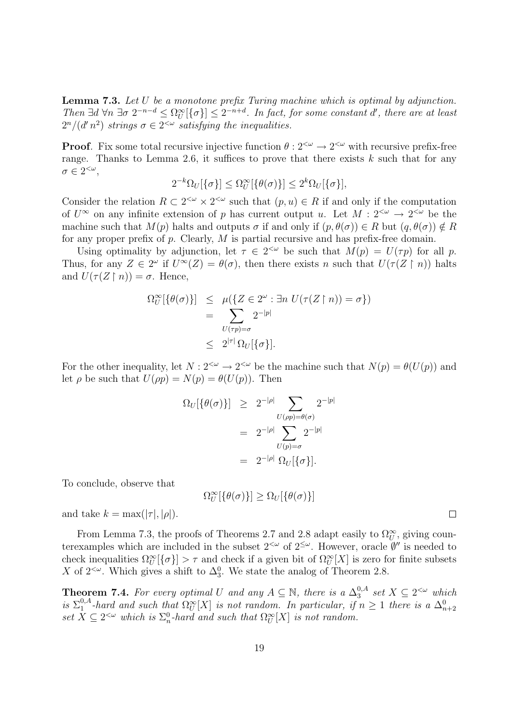Lemma 7.3. Let U be a monotone prefix Turing machine which is optimal by adjunction. Then  $\exists d \forall n \exists \sigma 2^{-n-d} \leq \Omega^{\infty}_U[\{\sigma\}] \leq 2^{-n+d}$ . In fact, for some constant d', there are at least  $2^n/(d'n^2)$  strings  $\sigma \in 2^{<\omega}$  satisfying the inequalities.

**Proof.** Fix some total recursive injective function  $\theta : 2^{<\omega} \to 2^{<\omega}$  with recursive prefix-free range. Thanks to Lemma 2.6, it suffices to prove that there exists  $k$  such that for any  $\sigma \in 2^{<\omega}$ ,

$$
2^{-k}\Omega_U[\{\sigma\}] \leq \Omega_U^{\infty}[\{\theta(\sigma)\}] \leq 2^k \Omega_U[\{\sigma\}],
$$

Consider the relation  $R \subset 2^{\langle \omega \rangle} \times 2^{\langle \omega \rangle}$  such that  $(p, u) \in R$  if and only if the computation of  $U^{\infty}$  on any infinite extension of p has current output u. Let  $M: 2^{<\omega} \to 2^{<\omega}$  be the machine such that  $M(p)$  halts and outputs  $\sigma$  if and only if  $(p, \theta(\sigma)) \in R$  but  $(q, \theta(\sigma)) \notin R$ for any proper prefix of  $p$ . Clearly,  $M$  is partial recursive and has prefix-free domain.

Using optimality by adjunction, let  $\tau \in 2^{<\omega}$  be such that  $M(p) = U(\tau p)$  for all p. Thus, for any  $Z \in 2^{\omega}$  if  $U^{\infty}(Z) = \theta(\sigma)$ , then there exists n such that  $U(\tau(Z \restriction n))$  halts and  $U(\tau(Z \restriction n)) = \sigma$ . Hence,

$$
\Omega^{\infty}_U[\{\theta(\sigma)\}] \leq \mu(\{Z \in 2^{\omega} : \exists n \ U(\tau(Z \upharpoonright n)) = \sigma\})
$$
  
= 
$$
\sum_{U(\tau p) = \sigma} 2^{-|p|}
$$
  

$$
\leq 2^{|\tau|} \Omega_U[\{\sigma\}].
$$

For the other inequality, let  $N: 2^{<\omega} \to 2^{<\omega}$  be the machine such that  $N(p) = \theta(U(p))$  and let  $\rho$  be such that  $U(\rho p) = N(p) = \theta(U(p))$ . Then

$$
\Omega_U[\{\theta(\sigma)\}] \geq 2^{-|\rho|} \sum_{U(\rho p)=\theta(\sigma)} 2^{-|p|}
$$
  
= 
$$
2^{-|\rho|} \sum_{U(p)=\sigma} 2^{-|p|}
$$
  
= 
$$
2^{-|\rho|} \Omega_U[\{\sigma\}].
$$

To conclude, observe that

$$
\Omega_U^{\infty}[\{\theta(\sigma)\}] \geq \Omega_U[\{\theta(\sigma)\}]
$$

and take  $k = \max(|\tau|, |\rho|)$ .

From Lemma 7.3, the proofs of Theorems 2.7 and 2.8 adapt easily to  $\Omega_U^{\infty}$ , giving counterexamples which are included in the subset  $2<sup>{\omega}</sup>$  of  $2<sup>{\omega}</sup>$ . However, oracle  $\emptyset$ " is needed to check inequalities  $\Omega_U^{\infty}[\{\sigma\}] > \tau$  and check if a given bit of  $\Omega_U^{\infty}[X]$  is zero for finite subsets X of  $2^{\lt}\omega$ . Which gives a shift to  $\Delta_3^0$ . We state the analog of Theorem 2.8.

**Theorem 7.4.** For every optimal U and any  $A \subseteq \mathbb{N}$ , there is a  $\Delta_3^{0,A}$  $_3^{0,A}$  set  $X \subseteq 2^{<\omega}$  which is  $\Sigma_1^{0,A}$  $\sum_{1}^{0,A}$ -hard and such that  $\Omega^{\infty}_U[X]$  is not random. In particular, if  $n \geq 1$  there is a  $\Delta^0_{n+2}$ set  $X \subseteq 2^{<\omega}$  which is  $\Sigma_n^0$ -hard and such that  $\Omega_U^{\infty}[X]$  is not random.

 $\Box$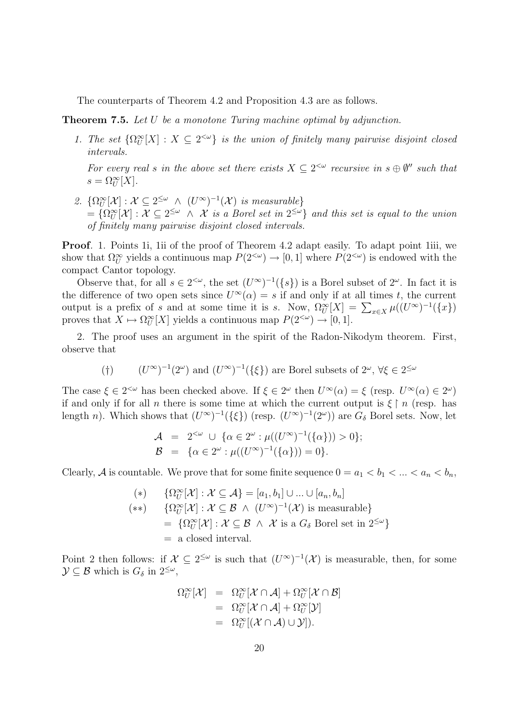The counterparts of Theorem 4.2 and Proposition 4.3 are as follows.

**Theorem 7.5.** Let U be a monotone Turing machine optimal by adjunction.

1. The set  $\{\Omega^{\infty}_U[X]: X \subseteq 2^{<\omega}\}\$ is the union of finitely many pairwise disjoint closed intervals.

For every real s in the above set there exists  $X \subseteq 2^{<\omega}$  recursive in  $s \oplus \emptyset$ <sup>n</sup> such that  $s = \Omega^{\infty}_U[X].$ 

2.  $\{\Omega^{\infty}_U[\mathcal{X}] : \mathcal{X} \subseteq 2^{\leq \omega} \wedge (U^{\infty})^{-1}(\mathcal{X}) \text{ is measurable}\}\$  $=\{\Omega^{\infty}_U[\mathcal{X}]: \mathcal{X} \subseteq 2^{\leq \omega} \wedge \mathcal{X}$  is a Borel set in  $2^{\leq \omega}\}$  and this set is equal to the union of finitely many pairwise disjoint closed intervals.

Proof. 1. Points 1i, 1ii of the proof of Theorem 4.2 adapt easily. To adapt point 1iii, we show that  $\Omega^{\infty}_U$  yields a continuous map  $P(2^{<\omega}) \to [0,1]$  where  $P(2^{<\omega})$  is endowed with the compact Cantor topology.

Observe that, for all  $s \in 2^{<\omega}$ , the set  $(U^{\infty})^{-1}(\{s\})$  is a Borel subset of  $2^{\omega}$ . In fact it is the difference of two open sets since  $U^{\infty}(\alpha) = s$  if and only if at all times t, the current output is a prefix of s and at some time it is s. Now,  $\Omega^{\infty}_U[X] = \sum_{x \in X} \mu((U^{\infty})^{-1}(\{x\})$ proves that  $X \mapsto \Omega^{\infty}_U[X]$  yields a continuous map  $P(2^{<\omega}) \to [0, 1].$ 

2. The proof uses an argument in the spirit of the Radon-Nikodym theorem. First, observe that

(†)  $(U^{\infty})^{-1}(2^{\omega})$  and  $(U^{\infty})^{-1}(\{\xi\})$  are Borel subsets of  $2^{\omega}$ ,  $\forall \xi \in 2^{\leq \omega}$ 

The case  $\xi \in 2^{<\omega}$  has been checked above. If  $\xi \in 2^\omega$  then  $U^\infty(\alpha) = \xi$  (resp.  $U^\infty(\alpha) \in 2^\omega$ ) if and only if for all n there is some time at which the current output is  $\xi \upharpoonright n$  (resp. has length n). Which shows that  $(U^{\infty})^{-1}(\{\xi\})$  (resp.  $(U^{\infty})^{-1}(2^{\omega})$ ) are  $G_{\delta}$  Borel sets. Now, let

$$
\mathcal{A} = 2^{<\omega} \cup \{ \alpha \in 2^{\omega} : \mu((U^{\infty})^{-1}(\{\alpha\})) > 0 \};
$$
  

$$
\mathcal{B} = \{ \alpha \in 2^{\omega} : \mu((U^{\infty})^{-1}(\{\alpha\})) = 0 \}.
$$

Clearly, A is countable. We prove that for some finite sequence  $0 = a_1 < b_1 < \ldots < a_n < b_n$ ,

(\*)  $\{\Omega^{\infty}_U[\mathcal{X}] : \mathcal{X} \subseteq \mathcal{A}\} = [a_1, b_1] \cup ... \cup [a_n, b_n]$ (\*\*)  $\{\Omega^{\infty}_U[\mathcal{X}] : \mathcal{X} \subseteq \mathcal{B} \land (U^{\infty})^{-1}(\mathcal{X}) \text{ is measurable}\}\$  $= \{ \Omega^{\infty}_U[\mathcal{X}] : \mathcal{X} \subseteq \mathcal{B} \land \mathcal{X} \text{ is a } G_{\delta} \text{ Borel set in } 2^{\leq \omega} \}$ = a closed interval.

Point 2 then follows: if  $\mathcal{X} \subseteq 2^{\leq \omega}$  is such that  $(U^{\infty})^{-1}(\mathcal{X})$  is measurable, then, for some  $\mathcal{Y} \subseteq \mathcal{B}$  which is  $G_{\delta}$  in  $2^{\leq \omega}$ ,

$$
\Omega^{\infty}_U[\mathcal{X}] = \Omega^{\infty}_U[\mathcal{X} \cap \mathcal{A}] + \Omega^{\infty}_U[\mathcal{X} \cap \mathcal{B}]
$$
  
=  $\Omega^{\infty}_U[\mathcal{X} \cap \mathcal{A}] + \Omega^{\infty}_U[\mathcal{Y}]$   
=  $\Omega^{\infty}_U[(\mathcal{X} \cap \mathcal{A}) \cup \mathcal{Y}]).$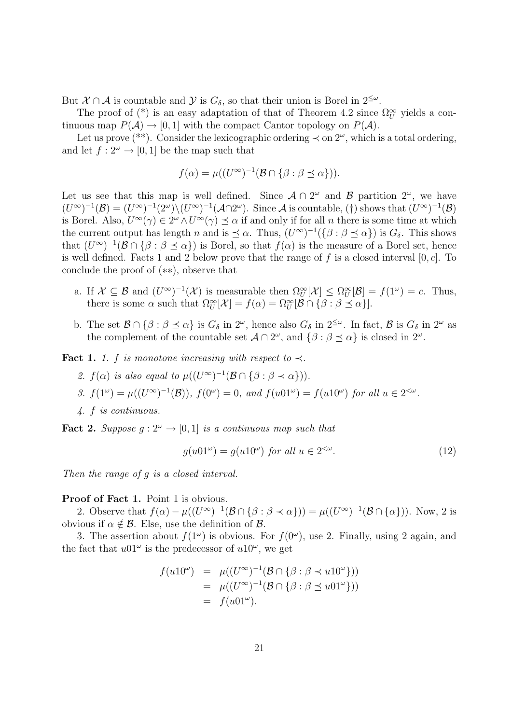But  $\mathcal{X} \cap \mathcal{A}$  is countable and  $\mathcal{Y}$  is  $G_{\delta}$ , so that their union is Borel in  $2^{\leq \omega}$ .

The proof of (\*) is an easy adaptation of that of Theorem 4.2 since  $\Omega_U^{\infty}$  yields a continuous map  $P(\mathcal{A}) \to [0, 1]$  with the compact Cantor topology on  $P(\mathcal{A})$ .

Let us prove (\*\*). Consider the lexicographic ordering  $\prec$  on  $2^{\omega}$ , which is a total ordering, and let  $f: 2^{\omega} \to [0, 1]$  be the map such that

$$
f(\alpha) = \mu((U^{\infty})^{-1}(\mathcal{B} \cap {\beta : \beta \preceq \alpha})).
$$

Let us see that this map is well defined. Since  $\mathcal{A} \cap 2^{\omega}$  and  $\mathcal{B}$  partition  $2^{\omega}$ , we have  $(U^{\infty})^{-1}(\mathcal{B}) = (U^{\infty})^{-1}(2^{\omega})\setminus (U^{\infty})^{-1}(\mathcal{A}\cap 2^{\omega}).$  Since A is countable, (†) shows that  $(U^{\infty})^{-1}(\mathcal{B})$ is Borel. Also,  $U^{\infty}(\gamma) \in 2^{\omega} \wedge U^{\infty}(\gamma) \preceq \alpha$  if and only if for all n there is some time at which the current output has length n and is  $\leq \alpha$ . Thus,  $(U^{\infty})^{-1}(\{\beta : \beta \leq \alpha\})$  is  $G_{\delta}$ . This shows that  $(U^{\infty})^{-1}(\mathcal{B} \cap {\{\beta : \beta \preceq \alpha\}})$  is Borel, so that  $f(\alpha)$  is the measure of a Borel set, hence is well defined. Facts 1 and 2 below prove that the range of f is a closed interval  $[0, c]$ . To conclude the proof of (∗∗), observe that

- a. If  $\mathcal{X} \subseteq \mathcal{B}$  and  $(U^{\infty})^{-1}(\mathcal{X})$  is measurable then  $\Omega^{\infty}_U[\mathcal{X}] \leq \Omega^{\infty}_U[\mathcal{B}] = f(1^{\omega}) = c$ . Thus, there is some  $\alpha$  such that  $\Omega_U^{\infty}[\mathcal{X}] = f(\alpha) = \Omega_U^{\infty}[\mathcal{B} \cap {\{\beta : \beta \preceq \alpha\}}].$
- b. The set  $\mathcal{B} \cap {\{\beta : \beta \leq \alpha\}}$  is  $G_{\delta}$  in  $2^{\omega}$ , hence also  $G_{\delta}$  in  $2^{\leq \omega}$ . In fact,  $\mathcal{B}$  is  $G_{\delta}$  in  $2^{\omega}$  as the complement of the countable set  $\mathcal{A} \cap 2^{\omega}$ , and  $\{\beta : \beta \preceq \alpha\}$  is closed in  $2^{\omega}$ .

Fact 1. 1. f is monotone increasing with respect to  $\prec$ .

- 2.  $f(\alpha)$  is also equal to  $\mu((U^{\infty})^{-1}(\mathcal{B}\cap\{\beta:\beta\prec\alpha\})).$
- 3.  $f(1^{\omega}) = \mu((U^{\infty})^{-1}(\mathcal{B}))$ ,  $f(0^{\omega}) = 0$ , and  $f(u01^{\omega}) = f(u10^{\omega})$  for all  $u \in 2^{<\omega}$ .
- 4. f is continuous.

**Fact 2.** Suppose  $q: 2^{\omega} \to [0, 1]$  is a continuous map such that

$$
g(u01^{\omega}) = g(u10^{\omega}) \text{ for all } u \in 2^{<\omega}.
$$
 (12)

Then the range of g is a closed interval.

#### Proof of Fact 1. Point 1 is obvious.

2. Observe that  $f(\alpha) - \mu((U^{\infty})^{-1}(\mathcal{B} \cap {\{\beta : \beta < \alpha\}})) = \mu((U^{\infty})^{-1}(\mathcal{B} \cap {\{\alpha\}}))$ . Now, 2 is obvious if  $\alpha \notin \mathcal{B}$ . Else, use the definition of  $\mathcal{B}$ .

3. The assertion about  $f(1^{\omega})$  is obvious. For  $f(0^{\omega})$ , use 2. Finally, using 2 again, and the fact that  $u01^{\omega}$  is the predecessor of  $u10^{\omega}$ , we get

$$
f(u10^{\omega}) = \mu((U^{\infty})^{-1}(\mathcal{B} \cap {\beta : \beta \prec u10^{\omega}}))
$$
  
= 
$$
\mu((U^{\infty})^{-1}(\mathcal{B} \cap {\beta : \beta \preceq u01^{\omega}}))
$$
  
= 
$$
f(u01^{\omega}).
$$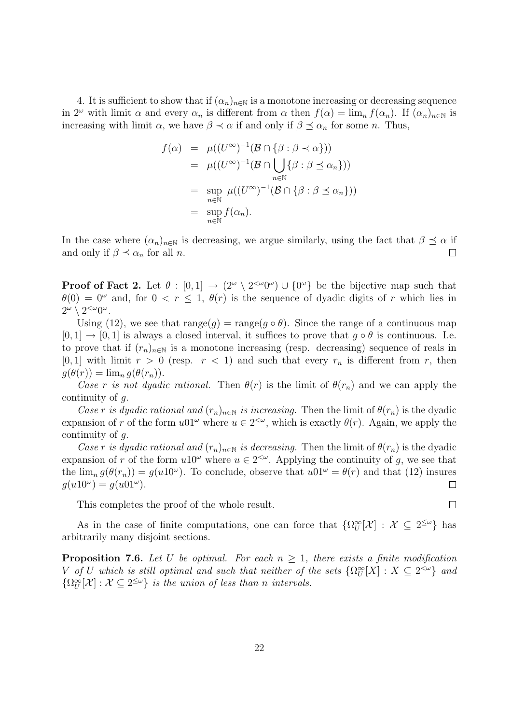4. It is sufficient to show that if  $(\alpha_n)_{n\in\mathbb{N}}$  is a monotone increasing or decreasing sequence in 2<sup>ω</sup> with limit  $\alpha$  and every  $\alpha_n$  is different from  $\alpha$  then  $f(\alpha) = \lim_n f(\alpha_n)$ . If  $(\alpha_n)_{n \in \mathbb{N}}$  is increasing with limit  $\alpha$ , we have  $\beta \prec \alpha$  if and only if  $\beta \preceq \alpha_n$  for some *n*. Thus,

$$
f(\alpha) = \mu((U^{\infty})^{-1}(\mathcal{B} \cap {\beta : \beta \prec \alpha}))
$$
  
=  $\mu((U^{\infty})^{-1}(\mathcal{B} \cap \bigcup_{n \in \mathbb{N}} {\beta : \beta \preceq \alpha_n}))$   
=  $\sup_{n \in \mathbb{N}} \mu((U^{\infty})^{-1}(\mathcal{B} \cap {\beta : \beta \preceq \alpha_n})))$   
=  $\sup_{n \in \mathbb{N}} f(\alpha_n).$ 

In the case where  $(\alpha_n)_{n\in\mathbb{N}}$  is decreasing, we argue similarly, using the fact that  $\beta \preceq \alpha$  if and only if  $\beta \preceq \alpha_n$  for all *n*.  $\Box$ 

**Proof of Fact 2.** Let  $\theta : [0,1] \to (2^{\omega} \setminus 2^{<\omega}0^{\omega}) \cup \{0^{\omega}\}\$ be the bijective map such that  $\theta(0) = 0^{\omega}$  and, for  $0 < r \le 1$ ,  $\theta(r)$  is the sequence of dyadic digits of r which lies in  $2^{\omega} \setminus 2^{<\omega}0^{\omega}$ .

Using (12), we see that  $\text{range}(g) = \text{range}(g \circ \theta)$ . Since the range of a continuous map  $[0, 1] \rightarrow [0, 1]$  is always a closed interval, it suffices to prove that  $g \circ \theta$  is continuous. I.e. to prove that if  $(r_n)_{n\in\mathbb{N}}$  is a monotone increasing (resp. decreasing) sequence of reals in [0, 1] with limit  $r > 0$  (resp.  $r < 1$ ) and such that every  $r_n$  is different from r, then  $q(\theta(r)) = \lim_{n} q(\theta(r_n)).$ 

Case r is not dyadic rational. Then  $\theta(r)$  is the limit of  $\theta(r_n)$  and we can apply the continuity of g.

Case r is dyadic rational and  $(r_n)_{n\in\mathbb{N}}$  is increasing. Then the limit of  $\theta(r_n)$  is the dyadic expansion of r of the form  $u_01^{\omega}$  where  $u \in 2^{<\omega}$ , which is exactly  $\theta(r)$ . Again, we apply the continuity of g.

Case r is dyadic rational and  $(r_n)_{n\in\mathbb{N}}$  is decreasing. Then the limit of  $\theta(r_n)$  is the dyadic expansion of r of the form  $u10^{\omega}$  where  $u \in 2^{<\omega}$ . Applying the continuity of g, we see that the  $\lim_{n} g(\theta(r_n)) = g(u10^{\omega})$ . To conclude, observe that  $u01^{\omega} = \theta(r)$  and that (12) insures  $g(u10^{\omega}) = g(u01^{\omega}).$  $\Box$ 

This completes the proof of the whole result.

As in the case of finite computations, one can force that  $\{\Omega^{\infty}_U[\mathcal{X}] : \mathcal{X} \subseteq 2^{\leq \omega}\}\)$  has arbitrarily many disjoint sections.

**Proposition 7.6.** Let U be optimal. For each  $n \geq 1$ , there exists a finite modification V of U which is still optimal and such that neither of the sets  $\{\Omega^{\infty}_U[X]: X \subseteq 2^{&\omega}\}\$ and  $\{\Omega^{\infty}_U[\mathcal{X}]: \mathcal{X} \subseteq 2^{\leq \omega}\}\$ is the union of less than n intervals.

 $\Box$